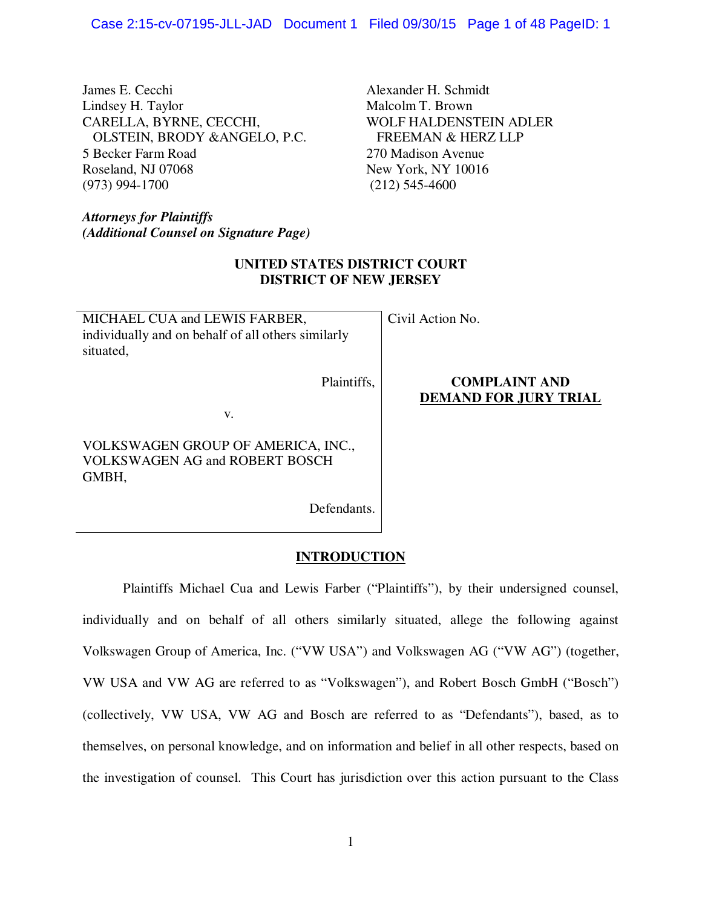James E. Cecchi and Alexander H. Schmidt Lindsey H. Taylor Malcolm T. Brown CARELLA, BYRNE, CECCHI, WOLF HALDENSTEIN ADLER OLSTEIN, BRODY &ANGELO, P.C. FREEMAN & HERZ LLP 5 Becker Farm Road 270 Madison Avenue Roseland, NJ 07068 New York, NY 10016 (973) 994-1700 (212) 545-4600

*Attorneys for Plaintiffs (Additional Counsel on Signature Page)* 

## **UNITED STATES DISTRICT COURT DISTRICT OF NEW JERSEY**

MICHAEL CUA and LEWIS FARBER, individually and on behalf of all others similarly situated,

Plaintiffs,

Civil Action No.

### **COMPLAINT AND DEMAND FOR JURY TRIAL**

v.

VOLKSWAGEN GROUP OF AMERICA, INC., VOLKSWAGEN AG and ROBERT BOSCH GMBH,

Defendants.

### **INTRODUCTION**

Plaintiffs Michael Cua and Lewis Farber ("Plaintiffs"), by their undersigned counsel, individually and on behalf of all others similarly situated, allege the following against Volkswagen Group of America, Inc. ("VW USA") and Volkswagen AG ("VW AG") (together, VW USA and VW AG are referred to as "Volkswagen"), and Robert Bosch GmbH ("Bosch") (collectively, VW USA, VW AG and Bosch are referred to as "Defendants"), based, as to themselves, on personal knowledge, and on information and belief in all other respects, based on the investigation of counsel. This Court has jurisdiction over this action pursuant to the Class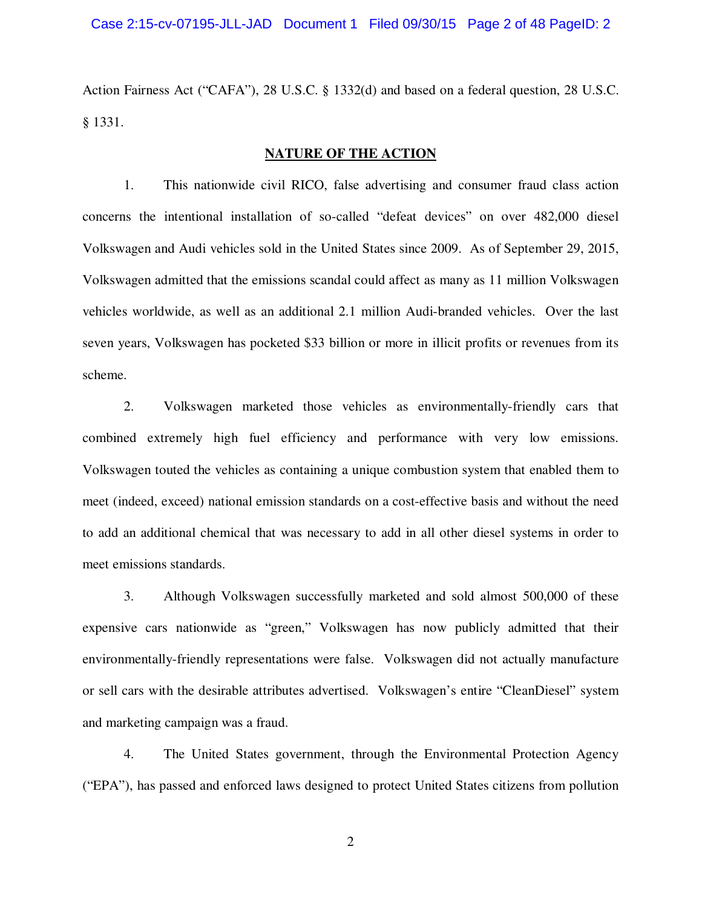Action Fairness Act ("CAFA"), 28 U.S.C. § 1332(d) and based on a federal question, 28 U.S.C. § 1331.

# **NATURE OF THE ACTION**

1. This nationwide civil RICO, false advertising and consumer fraud class action concerns the intentional installation of so-called "defeat devices" on over 482,000 diesel Volkswagen and Audi vehicles sold in the United States since 2009. As of September 29, 2015, Volkswagen admitted that the emissions scandal could affect as many as 11 million Volkswagen vehicles worldwide, as well as an additional 2.1 million Audi-branded vehicles. Over the last seven years, Volkswagen has pocketed \$33 billion or more in illicit profits or revenues from its scheme.

2. Volkswagen marketed those vehicles as environmentally-friendly cars that combined extremely high fuel efficiency and performance with very low emissions. Volkswagen touted the vehicles as containing a unique combustion system that enabled them to meet (indeed, exceed) national emission standards on a cost-effective basis and without the need to add an additional chemical that was necessary to add in all other diesel systems in order to meet emissions standards.

3. Although Volkswagen successfully marketed and sold almost 500,000 of these expensive cars nationwide as "green," Volkswagen has now publicly admitted that their environmentally-friendly representations were false. Volkswagen did not actually manufacture or sell cars with the desirable attributes advertised. Volkswagen's entire "CleanDiesel" system and marketing campaign was a fraud.

4. The United States government, through the Environmental Protection Agency ("EPA"), has passed and enforced laws designed to protect United States citizens from pollution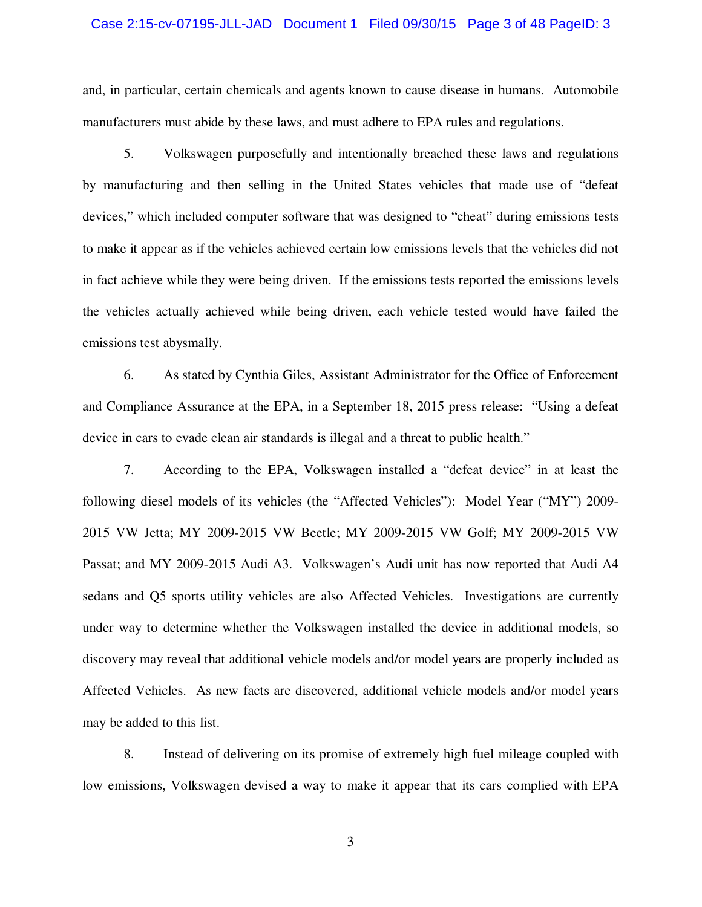#### Case 2:15-cv-07195-JLL-JAD Document 1 Filed 09/30/15 Page 3 of 48 PageID: 3

and, in particular, certain chemicals and agents known to cause disease in humans. Automobile manufacturers must abide by these laws, and must adhere to EPA rules and regulations.

5. Volkswagen purposefully and intentionally breached these laws and regulations by manufacturing and then selling in the United States vehicles that made use of "defeat devices," which included computer software that was designed to "cheat" during emissions tests to make it appear as if the vehicles achieved certain low emissions levels that the vehicles did not in fact achieve while they were being driven. If the emissions tests reported the emissions levels the vehicles actually achieved while being driven, each vehicle tested would have failed the emissions test abysmally.

6. As stated by Cynthia Giles, Assistant Administrator for the Office of Enforcement and Compliance Assurance at the EPA, in a September 18, 2015 press release: "Using a defeat device in cars to evade clean air standards is illegal and a threat to public health."

7. According to the EPA, Volkswagen installed a "defeat device" in at least the following diesel models of its vehicles (the "Affected Vehicles"): Model Year ("MY") 2009- 2015 VW Jetta; MY 2009-2015 VW Beetle; MY 2009-2015 VW Golf; MY 2009-2015 VW Passat; and MY 2009-2015 Audi A3. Volkswagen's Audi unit has now reported that Audi A4 sedans and Q5 sports utility vehicles are also Affected Vehicles. Investigations are currently under way to determine whether the Volkswagen installed the device in additional models, so discovery may reveal that additional vehicle models and/or model years are properly included as Affected Vehicles. As new facts are discovered, additional vehicle models and/or model years may be added to this list.

8. Instead of delivering on its promise of extremely high fuel mileage coupled with low emissions, Volkswagen devised a way to make it appear that its cars complied with EPA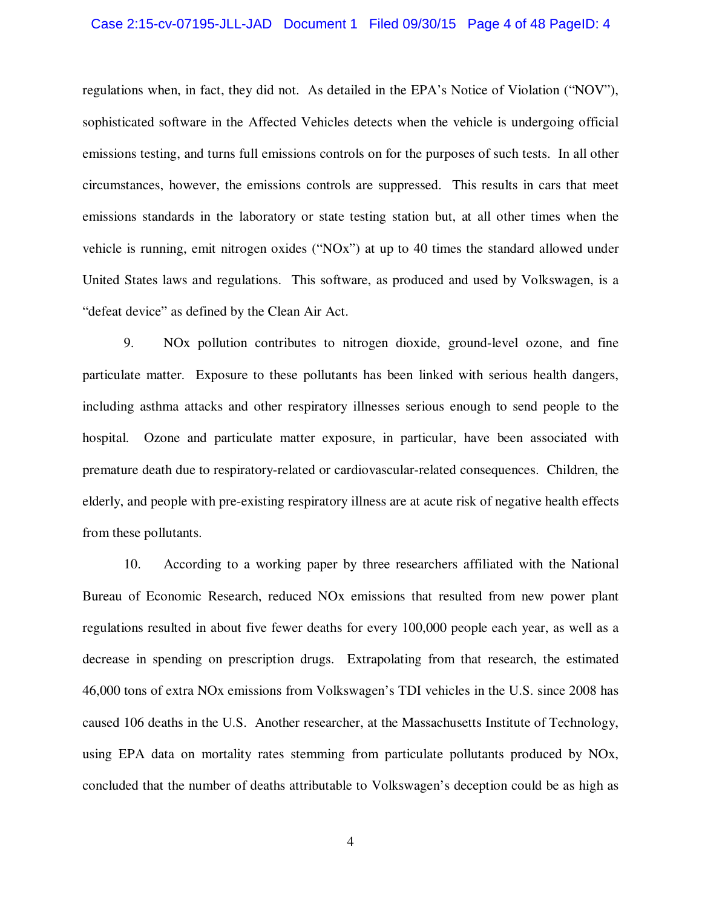#### Case 2:15-cv-07195-JLL-JAD Document 1 Filed 09/30/15 Page 4 of 48 PageID: 4

regulations when, in fact, they did not. As detailed in the EPA's Notice of Violation ("NOV"), sophisticated software in the Affected Vehicles detects when the vehicle is undergoing official emissions testing, and turns full emissions controls on for the purposes of such tests. In all other circumstances, however, the emissions controls are suppressed. This results in cars that meet emissions standards in the laboratory or state testing station but, at all other times when the vehicle is running, emit nitrogen oxides ("NOx") at up to 40 times the standard allowed under United States laws and regulations. This software, as produced and used by Volkswagen, is a "defeat device" as defined by the Clean Air Act.

9. NOx pollution contributes to nitrogen dioxide, ground-level ozone, and fine particulate matter. Exposure to these pollutants has been linked with serious health dangers, including asthma attacks and other respiratory illnesses serious enough to send people to the hospital. Ozone and particulate matter exposure, in particular, have been associated with premature death due to respiratory-related or cardiovascular-related consequences. Children, the elderly, and people with pre-existing respiratory illness are at acute risk of negative health effects from these pollutants.

10. According to a working paper by three researchers affiliated with the National Bureau of Economic Research, reduced NOx emissions that resulted from new power plant regulations resulted in about five fewer deaths for every 100,000 people each year, as well as a decrease in spending on prescription drugs. Extrapolating from that research, the estimated 46,000 tons of extra NOx emissions from Volkswagen's TDI vehicles in the U.S. since 2008 has caused 106 deaths in the U.S. Another researcher, at the Massachusetts Institute of Technology, using EPA data on mortality rates stemming from particulate pollutants produced by NOx, concluded that the number of deaths attributable to Volkswagen's deception could be as high as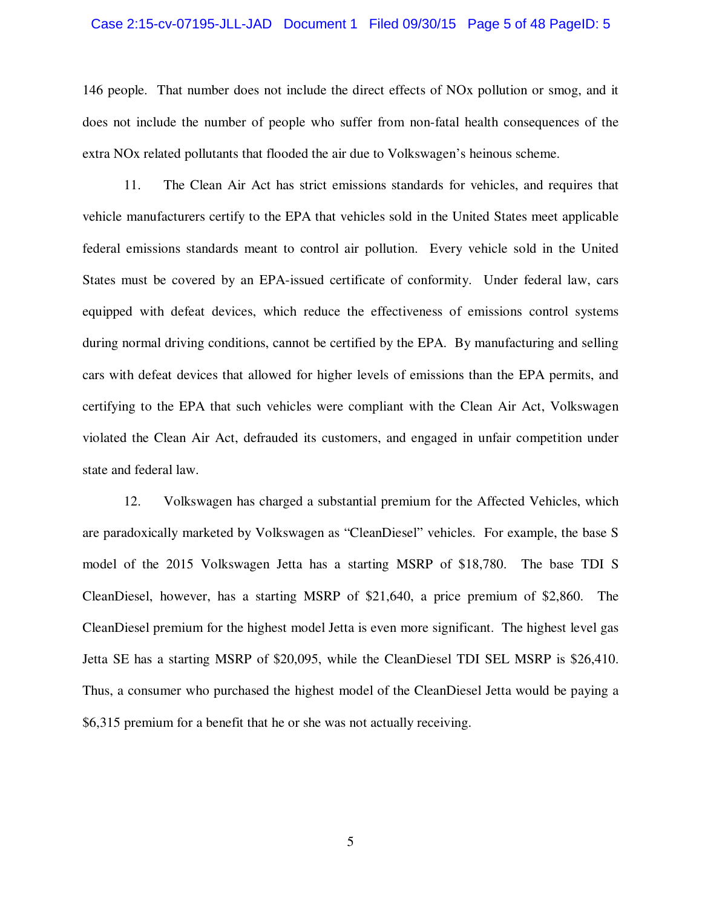#### Case 2:15-cv-07195-JLL-JAD Document 1 Filed 09/30/15 Page 5 of 48 PageID: 5

146 people. That number does not include the direct effects of NOx pollution or smog, and it does not include the number of people who suffer from non-fatal health consequences of the extra NOx related pollutants that flooded the air due to Volkswagen's heinous scheme.

11. The Clean Air Act has strict emissions standards for vehicles, and requires that vehicle manufacturers certify to the EPA that vehicles sold in the United States meet applicable federal emissions standards meant to control air pollution. Every vehicle sold in the United States must be covered by an EPA-issued certificate of conformity. Under federal law, cars equipped with defeat devices, which reduce the effectiveness of emissions control systems during normal driving conditions, cannot be certified by the EPA. By manufacturing and selling cars with defeat devices that allowed for higher levels of emissions than the EPA permits, and certifying to the EPA that such vehicles were compliant with the Clean Air Act, Volkswagen violated the Clean Air Act, defrauded its customers, and engaged in unfair competition under state and federal law.

12. Volkswagen has charged a substantial premium for the Affected Vehicles, which are paradoxically marketed by Volkswagen as "CleanDiesel" vehicles. For example, the base S model of the 2015 Volkswagen Jetta has a starting MSRP of \$18,780. The base TDI S CleanDiesel, however, has a starting MSRP of \$21,640, a price premium of \$2,860. The CleanDiesel premium for the highest model Jetta is even more significant. The highest level gas Jetta SE has a starting MSRP of \$20,095, while the CleanDiesel TDI SEL MSRP is \$26,410. Thus, a consumer who purchased the highest model of the CleanDiesel Jetta would be paying a \$6,315 premium for a benefit that he or she was not actually receiving.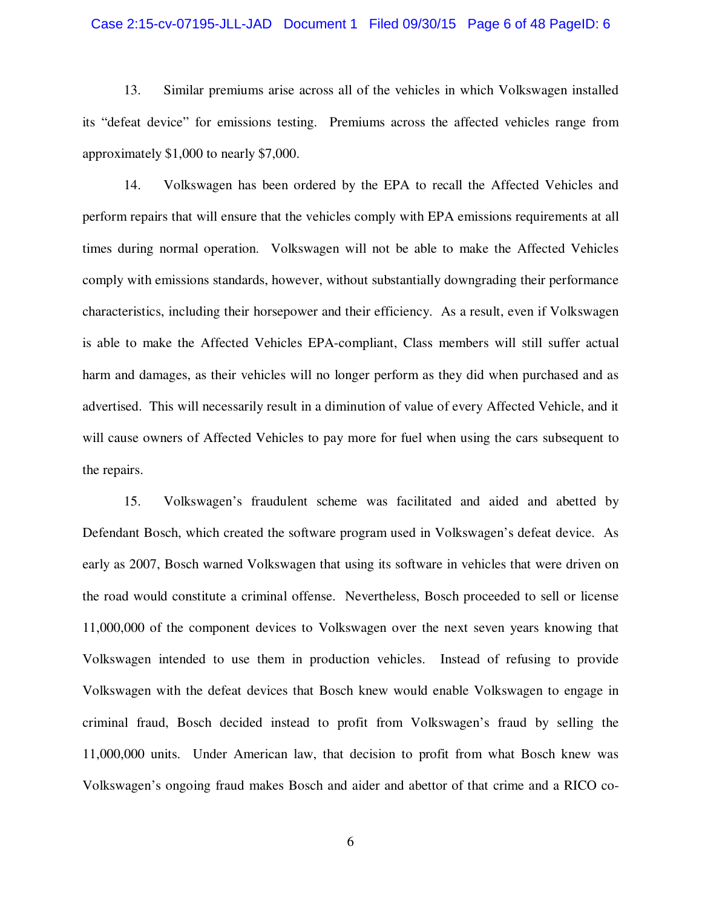#### Case 2:15-cv-07195-JLL-JAD Document 1 Filed 09/30/15 Page 6 of 48 PageID: 6

13. Similar premiums arise across all of the vehicles in which Volkswagen installed its "defeat device" for emissions testing. Premiums across the affected vehicles range from approximately \$1,000 to nearly \$7,000.

14. Volkswagen has been ordered by the EPA to recall the Affected Vehicles and perform repairs that will ensure that the vehicles comply with EPA emissions requirements at all times during normal operation. Volkswagen will not be able to make the Affected Vehicles comply with emissions standards, however, without substantially downgrading their performance characteristics, including their horsepower and their efficiency. As a result, even if Volkswagen is able to make the Affected Vehicles EPA-compliant, Class members will still suffer actual harm and damages, as their vehicles will no longer perform as they did when purchased and as advertised. This will necessarily result in a diminution of value of every Affected Vehicle, and it will cause owners of Affected Vehicles to pay more for fuel when using the cars subsequent to the repairs.

15. Volkswagen's fraudulent scheme was facilitated and aided and abetted by Defendant Bosch, which created the software program used in Volkswagen's defeat device. As early as 2007, Bosch warned Volkswagen that using its software in vehicles that were driven on the road would constitute a criminal offense. Nevertheless, Bosch proceeded to sell or license 11,000,000 of the component devices to Volkswagen over the next seven years knowing that Volkswagen intended to use them in production vehicles. Instead of refusing to provide Volkswagen with the defeat devices that Bosch knew would enable Volkswagen to engage in criminal fraud, Bosch decided instead to profit from Volkswagen's fraud by selling the 11,000,000 units. Under American law, that decision to profit from what Bosch knew was Volkswagen's ongoing fraud makes Bosch and aider and abettor of that crime and a RICO co-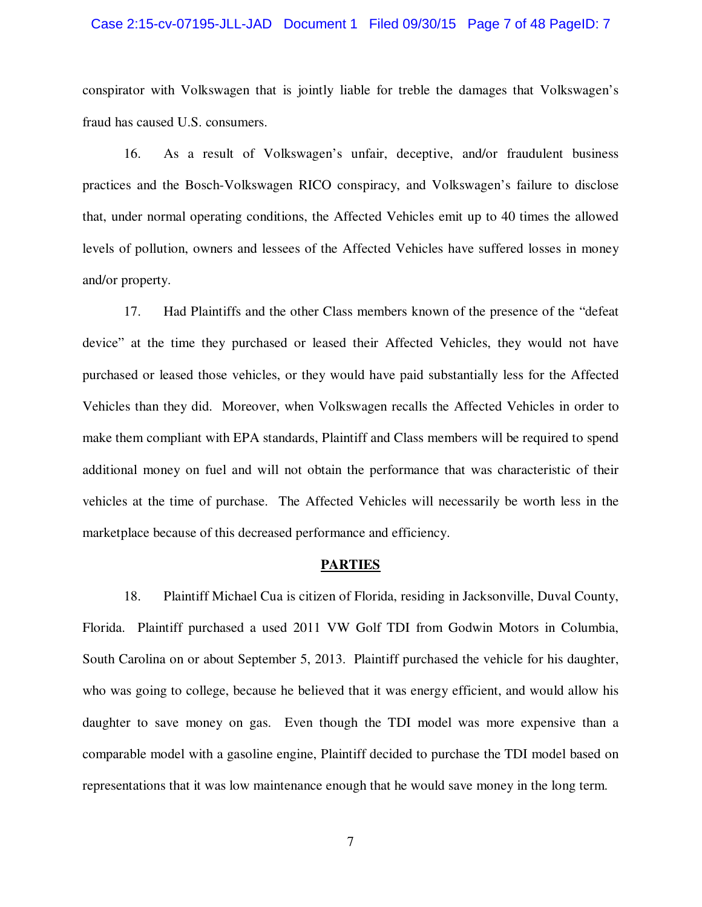#### Case 2:15-cv-07195-JLL-JAD Document 1 Filed 09/30/15 Page 7 of 48 PageID: 7

conspirator with Volkswagen that is jointly liable for treble the damages that Volkswagen's fraud has caused U.S. consumers.

16. As a result of Volkswagen's unfair, deceptive, and/or fraudulent business practices and the Bosch-Volkswagen RICO conspiracy, and Volkswagen's failure to disclose that, under normal operating conditions, the Affected Vehicles emit up to 40 times the allowed levels of pollution, owners and lessees of the Affected Vehicles have suffered losses in money and/or property.

17. Had Plaintiffs and the other Class members known of the presence of the "defeat device" at the time they purchased or leased their Affected Vehicles, they would not have purchased or leased those vehicles, or they would have paid substantially less for the Affected Vehicles than they did. Moreover, when Volkswagen recalls the Affected Vehicles in order to make them compliant with EPA standards, Plaintiff and Class members will be required to spend additional money on fuel and will not obtain the performance that was characteristic of their vehicles at the time of purchase. The Affected Vehicles will necessarily be worth less in the marketplace because of this decreased performance and efficiency.

#### **PARTIES**

18. Plaintiff Michael Cua is citizen of Florida, residing in Jacksonville, Duval County, Florida. Plaintiff purchased a used 2011 VW Golf TDI from Godwin Motors in Columbia, South Carolina on or about September 5, 2013. Plaintiff purchased the vehicle for his daughter, who was going to college, because he believed that it was energy efficient, and would allow his daughter to save money on gas. Even though the TDI model was more expensive than a comparable model with a gasoline engine, Plaintiff decided to purchase the TDI model based on representations that it was low maintenance enough that he would save money in the long term.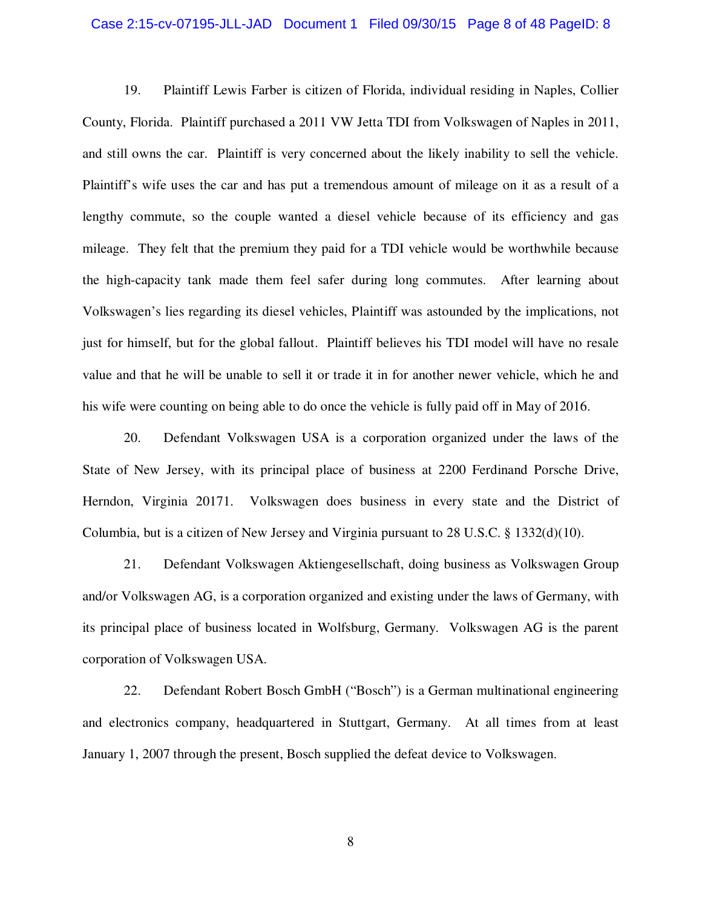#### Case 2:15-cv-07195-JLL-JAD Document 1 Filed 09/30/15 Page 8 of 48 PageID: 8

19. Plaintiff Lewis Farber is citizen of Florida, individual residing in Naples, Collier County, Florida. Plaintiff purchased a 2011 VW Jetta TDI from Volkswagen of Naples in 2011, and still owns the car. Plaintiff is very concerned about the likely inability to sell the vehicle. Plaintiff's wife uses the car and has put a tremendous amount of mileage on it as a result of a lengthy commute, so the couple wanted a diesel vehicle because of its efficiency and gas mileage. They felt that the premium they paid for a TDI vehicle would be worthwhile because the high-capacity tank made them feel safer during long commutes. After learning about Volkswagen's lies regarding its diesel vehicles, Plaintiff was astounded by the implications, not just for himself, but for the global fallout. Plaintiff believes his TDI model will have no resale value and that he will be unable to sell it or trade it in for another newer vehicle, which he and his wife were counting on being able to do once the vehicle is fully paid off in May of 2016.

20. Defendant Volkswagen USA is a corporation organized under the laws of the State of New Jersey, with its principal place of business at 2200 Ferdinand Porsche Drive, Herndon, Virginia 20171. Volkswagen does business in every state and the District of Columbia, but is a citizen of New Jersey and Virginia pursuant to 28 U.S.C. § 1332(d)(10).

21. Defendant Volkswagen Aktiengesellschaft, doing business as Volkswagen Group and/or Volkswagen AG, is a corporation organized and existing under the laws of Germany, with its principal place of business located in Wolfsburg, Germany. Volkswagen AG is the parent corporation of Volkswagen USA.

22. Defendant Robert Bosch GmbH ("Bosch") is a German multinational engineering and electronics company, headquartered in Stuttgart, Germany. At all times from at least January 1, 2007 through the present, Bosch supplied the defeat device to Volkswagen.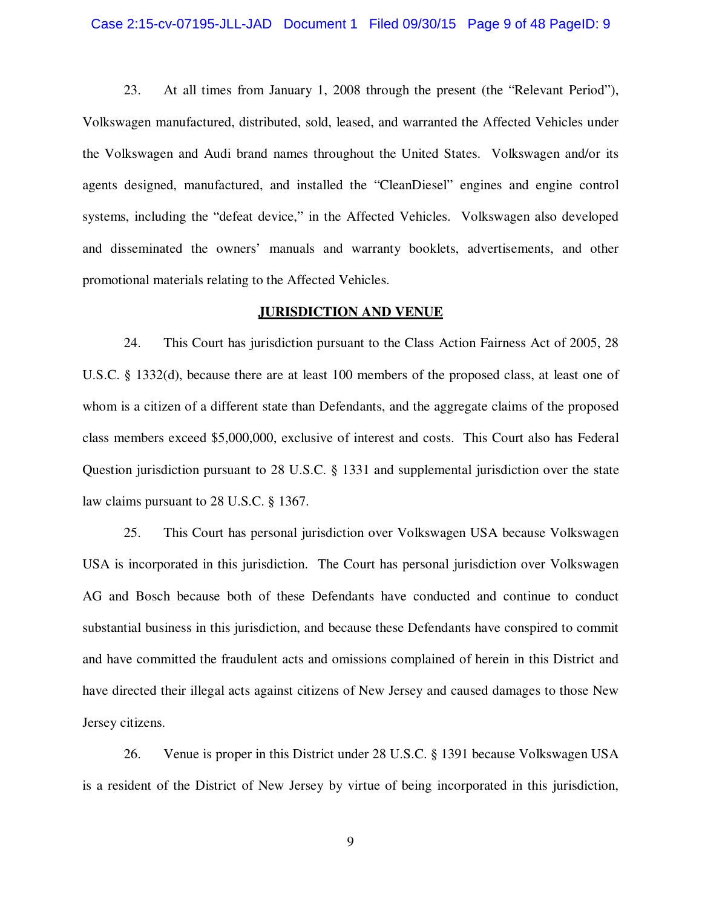#### Case 2:15-cv-07195-JLL-JAD Document 1 Filed 09/30/15 Page 9 of 48 PageID: 9

23. At all times from January 1, 2008 through the present (the "Relevant Period"), Volkswagen manufactured, distributed, sold, leased, and warranted the Affected Vehicles under the Volkswagen and Audi brand names throughout the United States. Volkswagen and/or its agents designed, manufactured, and installed the "CleanDiesel" engines and engine control systems, including the "defeat device," in the Affected Vehicles. Volkswagen also developed and disseminated the owners' manuals and warranty booklets, advertisements, and other promotional materials relating to the Affected Vehicles.

#### **JURISDICTION AND VENUE**

24. This Court has jurisdiction pursuant to the Class Action Fairness Act of 2005, 28 U.S.C. § 1332(d), because there are at least 100 members of the proposed class, at least one of whom is a citizen of a different state than Defendants, and the aggregate claims of the proposed class members exceed \$5,000,000, exclusive of interest and costs. This Court also has Federal Question jurisdiction pursuant to 28 U.S.C. § 1331 and supplemental jurisdiction over the state law claims pursuant to 28 U.S.C. § 1367.

25. This Court has personal jurisdiction over Volkswagen USA because Volkswagen USA is incorporated in this jurisdiction. The Court has personal jurisdiction over Volkswagen AG and Bosch because both of these Defendants have conducted and continue to conduct substantial business in this jurisdiction, and because these Defendants have conspired to commit and have committed the fraudulent acts and omissions complained of herein in this District and have directed their illegal acts against citizens of New Jersey and caused damages to those New Jersey citizens.

26. Venue is proper in this District under 28 U.S.C. § 1391 because Volkswagen USA is a resident of the District of New Jersey by virtue of being incorporated in this jurisdiction,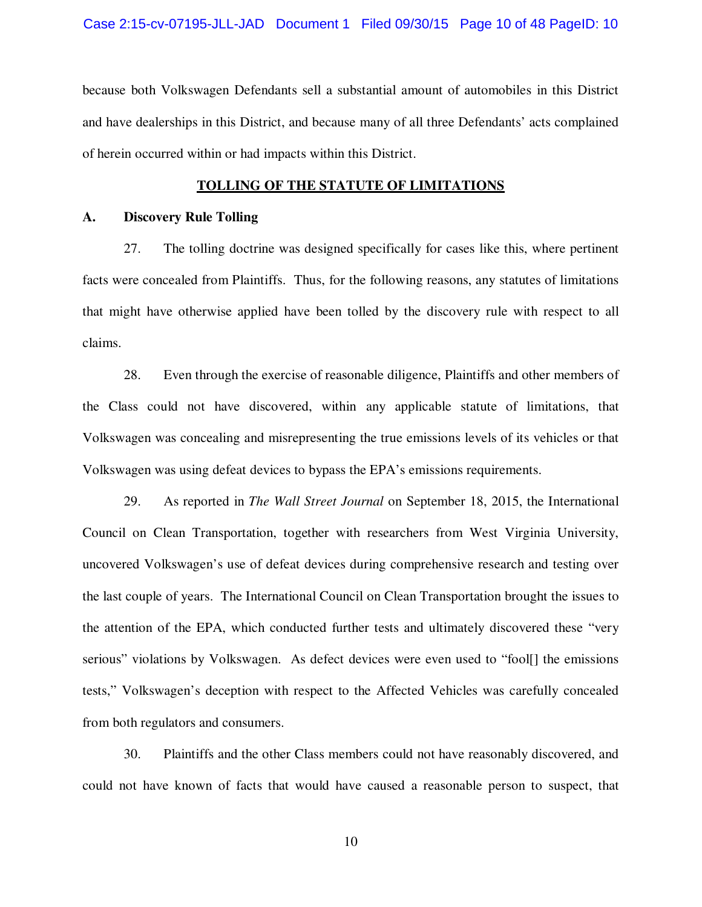because both Volkswagen Defendants sell a substantial amount of automobiles in this District and have dealerships in this District, and because many of all three Defendants' acts complained of herein occurred within or had impacts within this District.

### **TOLLING OF THE STATUTE OF LIMITATIONS**

#### **A. Discovery Rule Tolling**

27. The tolling doctrine was designed specifically for cases like this, where pertinent facts were concealed from Plaintiffs. Thus, for the following reasons, any statutes of limitations that might have otherwise applied have been tolled by the discovery rule with respect to all claims.

28. Even through the exercise of reasonable diligence, Plaintiffs and other members of the Class could not have discovered, within any applicable statute of limitations, that Volkswagen was concealing and misrepresenting the true emissions levels of its vehicles or that Volkswagen was using defeat devices to bypass the EPA's emissions requirements.

29. As reported in *The Wall Street Journal* on September 18, 2015, the International Council on Clean Transportation, together with researchers from West Virginia University, uncovered Volkswagen's use of defeat devices during comprehensive research and testing over the last couple of years. The International Council on Clean Transportation brought the issues to the attention of the EPA, which conducted further tests and ultimately discovered these "very serious" violations by Volkswagen. As defect devices were even used to "fool[] the emissions tests," Volkswagen's deception with respect to the Affected Vehicles was carefully concealed from both regulators and consumers.

30. Plaintiffs and the other Class members could not have reasonably discovered, and could not have known of facts that would have caused a reasonable person to suspect, that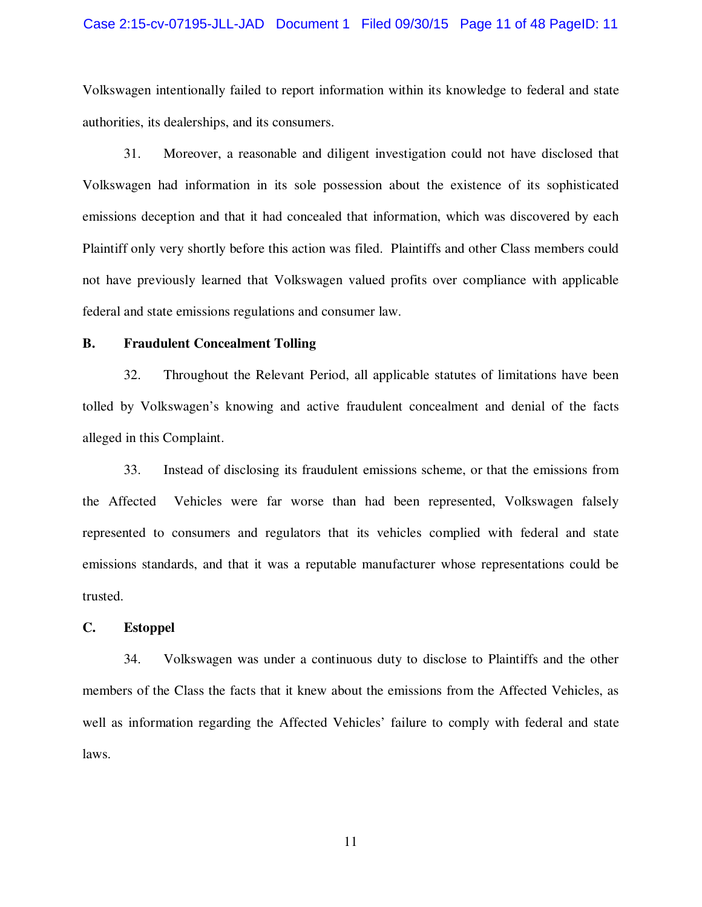#### Case 2:15-cv-07195-JLL-JAD Document 1 Filed 09/30/15 Page 11 of 48 PageID: 11

Volkswagen intentionally failed to report information within its knowledge to federal and state authorities, its dealerships, and its consumers.

31. Moreover, a reasonable and diligent investigation could not have disclosed that Volkswagen had information in its sole possession about the existence of its sophisticated emissions deception and that it had concealed that information, which was discovered by each Plaintiff only very shortly before this action was filed. Plaintiffs and other Class members could not have previously learned that Volkswagen valued profits over compliance with applicable federal and state emissions regulations and consumer law.

#### **B. Fraudulent Concealment Tolling**

32. Throughout the Relevant Period, all applicable statutes of limitations have been tolled by Volkswagen's knowing and active fraudulent concealment and denial of the facts alleged in this Complaint.

33. Instead of disclosing its fraudulent emissions scheme, or that the emissions from the Affected Vehicles were far worse than had been represented, Volkswagen falsely represented to consumers and regulators that its vehicles complied with federal and state emissions standards, and that it was a reputable manufacturer whose representations could be trusted.

#### **C. Estoppel**

34. Volkswagen was under a continuous duty to disclose to Plaintiffs and the other members of the Class the facts that it knew about the emissions from the Affected Vehicles, as well as information regarding the Affected Vehicles' failure to comply with federal and state laws.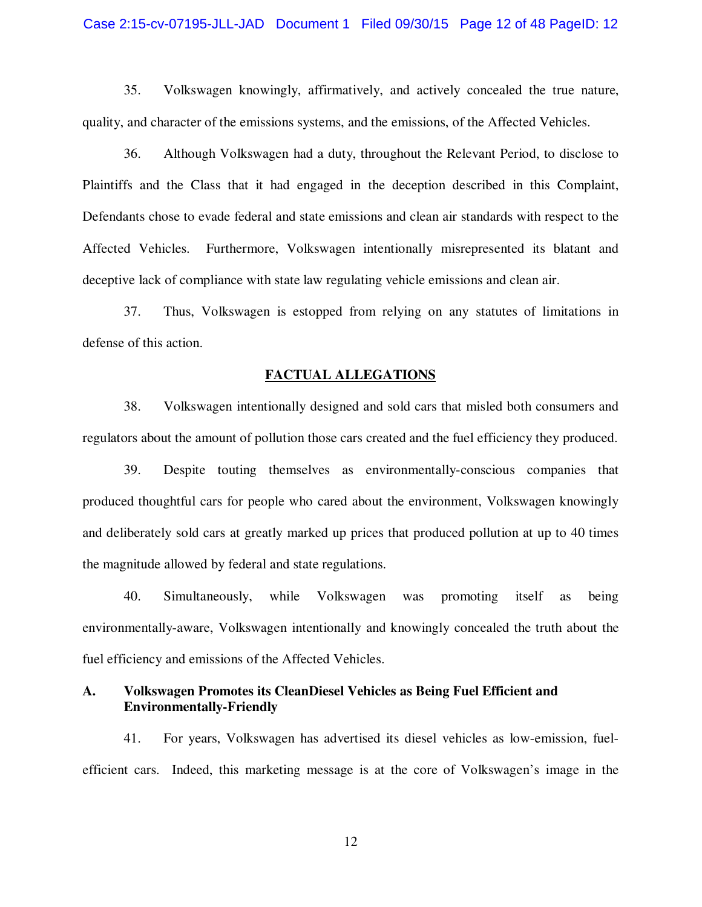#### Case 2:15-cv-07195-JLL-JAD Document 1 Filed 09/30/15 Page 12 of 48 PageID: 12

35. Volkswagen knowingly, affirmatively, and actively concealed the true nature, quality, and character of the emissions systems, and the emissions, of the Affected Vehicles.

36. Although Volkswagen had a duty, throughout the Relevant Period, to disclose to Plaintiffs and the Class that it had engaged in the deception described in this Complaint, Defendants chose to evade federal and state emissions and clean air standards with respect to the Affected Vehicles. Furthermore, Volkswagen intentionally misrepresented its blatant and deceptive lack of compliance with state law regulating vehicle emissions and clean air.

37. Thus, Volkswagen is estopped from relying on any statutes of limitations in defense of this action.

#### **FACTUAL ALLEGATIONS**

38. Volkswagen intentionally designed and sold cars that misled both consumers and regulators about the amount of pollution those cars created and the fuel efficiency they produced.

39. Despite touting themselves as environmentally-conscious companies that produced thoughtful cars for people who cared about the environment, Volkswagen knowingly and deliberately sold cars at greatly marked up prices that produced pollution at up to 40 times the magnitude allowed by federal and state regulations.

40. Simultaneously, while Volkswagen was promoting itself as being environmentally-aware, Volkswagen intentionally and knowingly concealed the truth about the fuel efficiency and emissions of the Affected Vehicles.

### **A. Volkswagen Promotes its CleanDiesel Vehicles as Being Fuel Efficient and Environmentally-Friendly**

41. For years, Volkswagen has advertised its diesel vehicles as low-emission, fuelefficient cars. Indeed, this marketing message is at the core of Volkswagen's image in the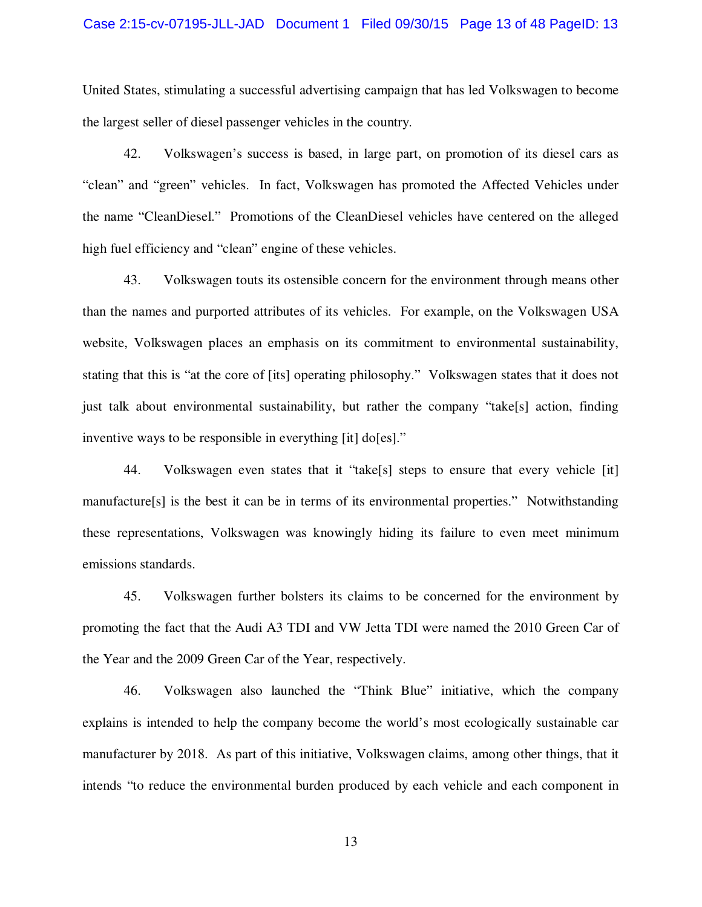#### Case 2:15-cv-07195-JLL-JAD Document 1 Filed 09/30/15 Page 13 of 48 PageID: 13

United States, stimulating a successful advertising campaign that has led Volkswagen to become the largest seller of diesel passenger vehicles in the country.

42. Volkswagen's success is based, in large part, on promotion of its diesel cars as "clean" and "green" vehicles. In fact, Volkswagen has promoted the Affected Vehicles under the name "CleanDiesel." Promotions of the CleanDiesel vehicles have centered on the alleged high fuel efficiency and "clean" engine of these vehicles.

43. Volkswagen touts its ostensible concern for the environment through means other than the names and purported attributes of its vehicles. For example, on the Volkswagen USA website, Volkswagen places an emphasis on its commitment to environmental sustainability, stating that this is "at the core of [its] operating philosophy." Volkswagen states that it does not just talk about environmental sustainability, but rather the company "take[s] action, finding inventive ways to be responsible in everything [it] do[es]."

44. Volkswagen even states that it "take[s] steps to ensure that every vehicle [it] manufacture[s] is the best it can be in terms of its environmental properties." Notwithstanding these representations, Volkswagen was knowingly hiding its failure to even meet minimum emissions standards.

45. Volkswagen further bolsters its claims to be concerned for the environment by promoting the fact that the Audi A3 TDI and VW Jetta TDI were named the 2010 Green Car of the Year and the 2009 Green Car of the Year, respectively.

46. Volkswagen also launched the "Think Blue" initiative, which the company explains is intended to help the company become the world's most ecologically sustainable car manufacturer by 2018. As part of this initiative, Volkswagen claims, among other things, that it intends "to reduce the environmental burden produced by each vehicle and each component in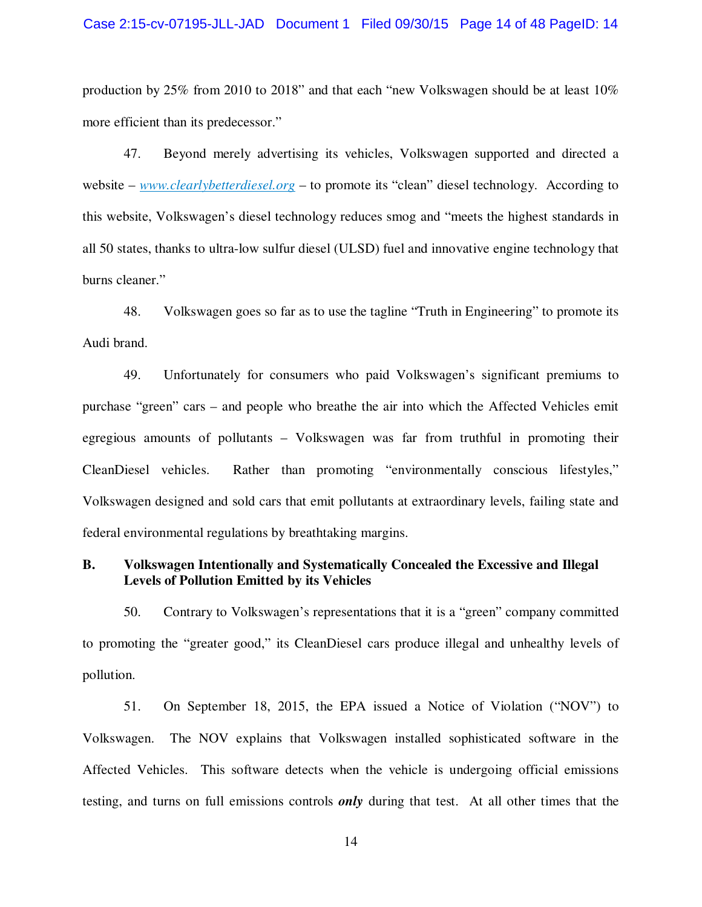#### Case 2:15-cv-07195-JLL-JAD Document 1 Filed 09/30/15 Page 14 of 48 PageID: 14

production by 25% from 2010 to 2018" and that each "new Volkswagen should be at least 10% more efficient than its predecessor."

47. Beyond merely advertising its vehicles, Volkswagen supported and directed a website – *www.clearlybetterdiesel.org* – to promote its "clean" diesel technology. According to this website, Volkswagen's diesel technology reduces smog and "meets the highest standards in all 50 states, thanks to ultra-low sulfur diesel (ULSD) fuel and innovative engine technology that burns cleaner."

48. Volkswagen goes so far as to use the tagline "Truth in Engineering" to promote its Audi brand.

49. Unfortunately for consumers who paid Volkswagen's significant premiums to purchase "green" cars – and people who breathe the air into which the Affected Vehicles emit egregious amounts of pollutants – Volkswagen was far from truthful in promoting their CleanDiesel vehicles. Rather than promoting "environmentally conscious lifestyles," Volkswagen designed and sold cars that emit pollutants at extraordinary levels, failing state and federal environmental regulations by breathtaking margins.

### **B. Volkswagen Intentionally and Systematically Concealed the Excessive and Illegal Levels of Pollution Emitted by its Vehicles**

50. Contrary to Volkswagen's representations that it is a "green" company committed to promoting the "greater good," its CleanDiesel cars produce illegal and unhealthy levels of pollution.

51. On September 18, 2015, the EPA issued a Notice of Violation ("NOV") to Volkswagen. The NOV explains that Volkswagen installed sophisticated software in the Affected Vehicles. This software detects when the vehicle is undergoing official emissions testing, and turns on full emissions controls *only* during that test. At all other times that the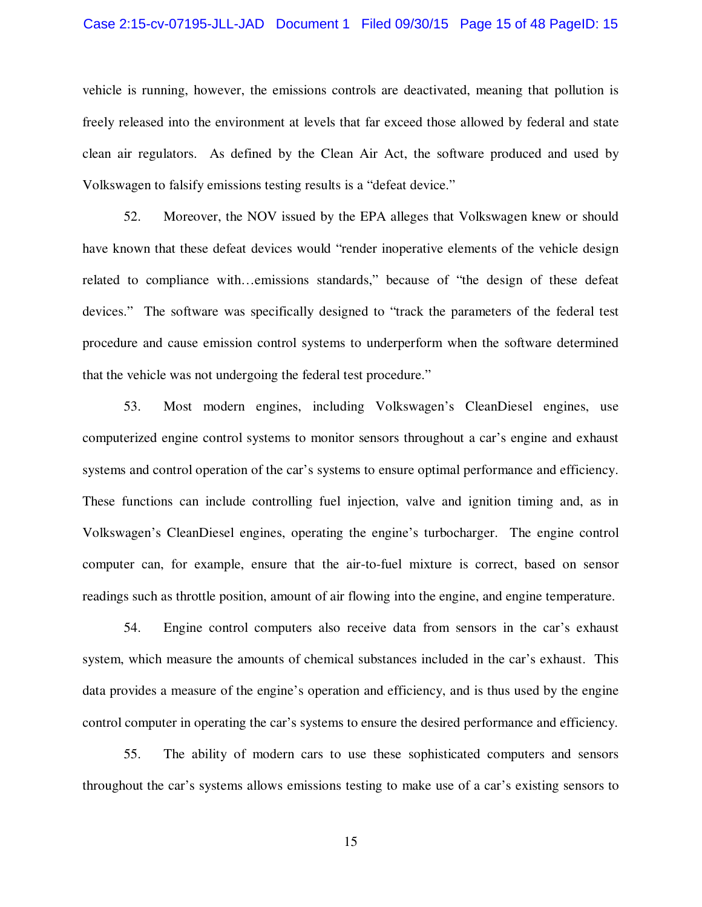#### Case 2:15-cv-07195-JLL-JAD Document 1 Filed 09/30/15 Page 15 of 48 PageID: 15

vehicle is running, however, the emissions controls are deactivated, meaning that pollution is freely released into the environment at levels that far exceed those allowed by federal and state clean air regulators. As defined by the Clean Air Act, the software produced and used by Volkswagen to falsify emissions testing results is a "defeat device."

52. Moreover, the NOV issued by the EPA alleges that Volkswagen knew or should have known that these defeat devices would "render inoperative elements of the vehicle design related to compliance with…emissions standards," because of "the design of these defeat devices." The software was specifically designed to "track the parameters of the federal test procedure and cause emission control systems to underperform when the software determined that the vehicle was not undergoing the federal test procedure."

53. Most modern engines, including Volkswagen's CleanDiesel engines, use computerized engine control systems to monitor sensors throughout a car's engine and exhaust systems and control operation of the car's systems to ensure optimal performance and efficiency. These functions can include controlling fuel injection, valve and ignition timing and, as in Volkswagen's CleanDiesel engines, operating the engine's turbocharger. The engine control computer can, for example, ensure that the air-to-fuel mixture is correct, based on sensor readings such as throttle position, amount of air flowing into the engine, and engine temperature.

54. Engine control computers also receive data from sensors in the car's exhaust system, which measure the amounts of chemical substances included in the car's exhaust. This data provides a measure of the engine's operation and efficiency, and is thus used by the engine control computer in operating the car's systems to ensure the desired performance and efficiency.

55. The ability of modern cars to use these sophisticated computers and sensors throughout the car's systems allows emissions testing to make use of a car's existing sensors to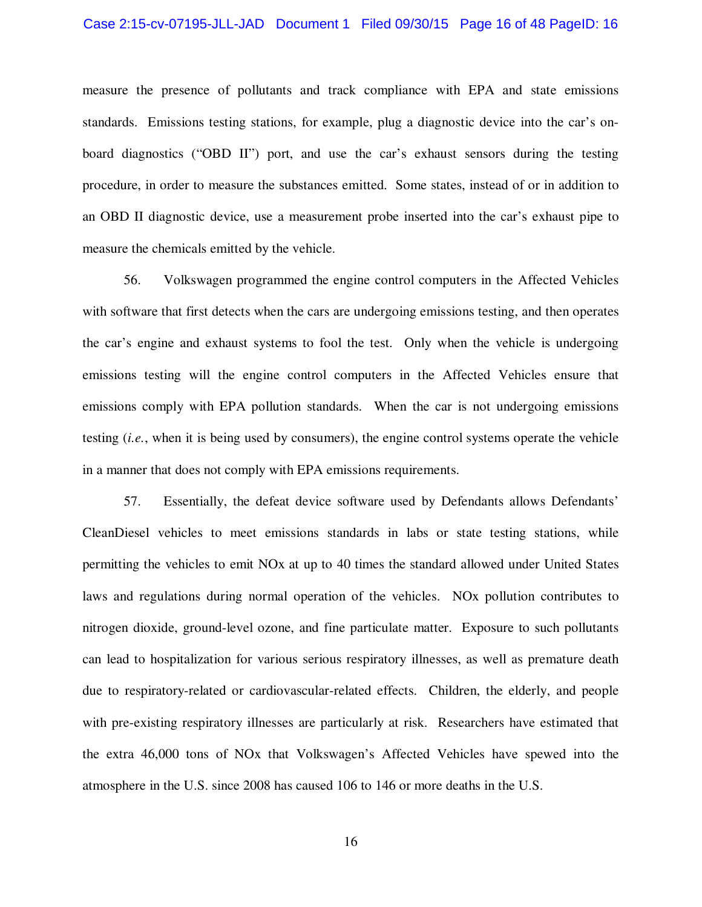#### Case 2:15-cv-07195-JLL-JAD Document 1 Filed 09/30/15 Page 16 of 48 PageID: 16

measure the presence of pollutants and track compliance with EPA and state emissions standards. Emissions testing stations, for example, plug a diagnostic device into the car's onboard diagnostics ("OBD II") port, and use the car's exhaust sensors during the testing procedure, in order to measure the substances emitted. Some states, instead of or in addition to an OBD II diagnostic device, use a measurement probe inserted into the car's exhaust pipe to measure the chemicals emitted by the vehicle.

56. Volkswagen programmed the engine control computers in the Affected Vehicles with software that first detects when the cars are undergoing emissions testing, and then operates the car's engine and exhaust systems to fool the test. Only when the vehicle is undergoing emissions testing will the engine control computers in the Affected Vehicles ensure that emissions comply with EPA pollution standards. When the car is not undergoing emissions testing (*i.e.*, when it is being used by consumers), the engine control systems operate the vehicle in a manner that does not comply with EPA emissions requirements.

57. Essentially, the defeat device software used by Defendants allows Defendants' CleanDiesel vehicles to meet emissions standards in labs or state testing stations, while permitting the vehicles to emit NOx at up to 40 times the standard allowed under United States laws and regulations during normal operation of the vehicles. NOx pollution contributes to nitrogen dioxide, ground-level ozone, and fine particulate matter. Exposure to such pollutants can lead to hospitalization for various serious respiratory illnesses, as well as premature death due to respiratory-related or cardiovascular-related effects. Children, the elderly, and people with pre-existing respiratory illnesses are particularly at risk. Researchers have estimated that the extra 46,000 tons of NOx that Volkswagen's Affected Vehicles have spewed into the atmosphere in the U.S. since 2008 has caused 106 to 146 or more deaths in the U.S.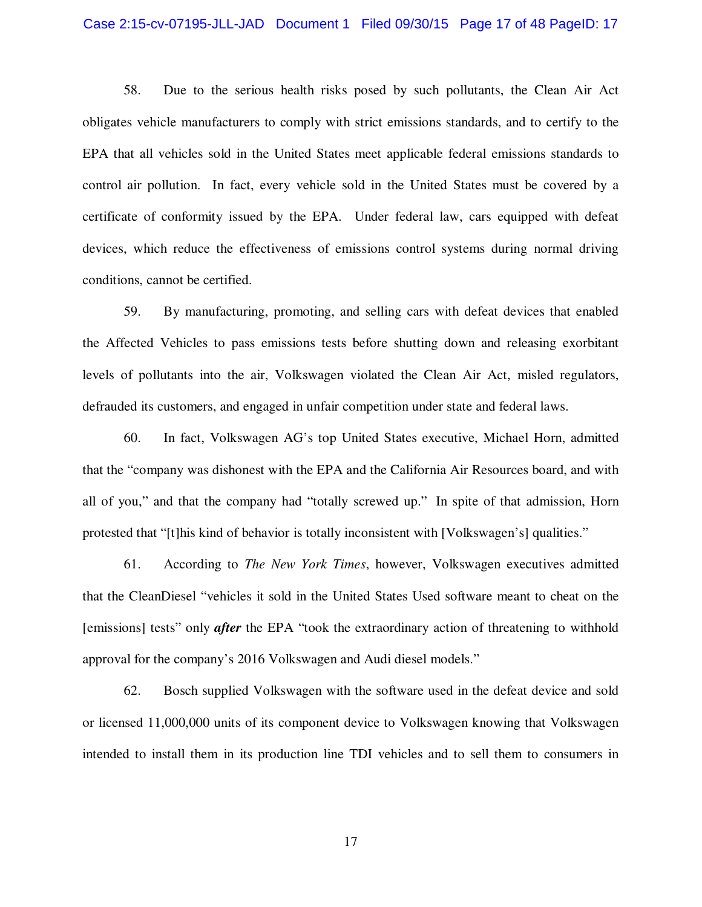#### Case 2:15-cv-07195-JLL-JAD Document 1 Filed 09/30/15 Page 17 of 48 PageID: 17

58. Due to the serious health risks posed by such pollutants, the Clean Air Act obligates vehicle manufacturers to comply with strict emissions standards, and to certify to the EPA that all vehicles sold in the United States meet applicable federal emissions standards to control air pollution. In fact, every vehicle sold in the United States must be covered by a certificate of conformity issued by the EPA. Under federal law, cars equipped with defeat devices, which reduce the effectiveness of emissions control systems during normal driving conditions, cannot be certified.

59. By manufacturing, promoting, and selling cars with defeat devices that enabled the Affected Vehicles to pass emissions tests before shutting down and releasing exorbitant levels of pollutants into the air, Volkswagen violated the Clean Air Act, misled regulators, defrauded its customers, and engaged in unfair competition under state and federal laws.

60. In fact, Volkswagen AG's top United States executive, Michael Horn, admitted that the "company was dishonest with the EPA and the California Air Resources board, and with all of you," and that the company had "totally screwed up." In spite of that admission, Horn protested that "[t]his kind of behavior is totally inconsistent with [Volkswagen's] qualities."

61. According to *The New York Times*, however, Volkswagen executives admitted that the CleanDiesel "vehicles it sold in the United States Used software meant to cheat on the [emissions] tests" only *after* the EPA "took the extraordinary action of threatening to withhold approval for the company's 2016 Volkswagen and Audi diesel models."

62. Bosch supplied Volkswagen with the software used in the defeat device and sold or licensed 11,000,000 units of its component device to Volkswagen knowing that Volkswagen intended to install them in its production line TDI vehicles and to sell them to consumers in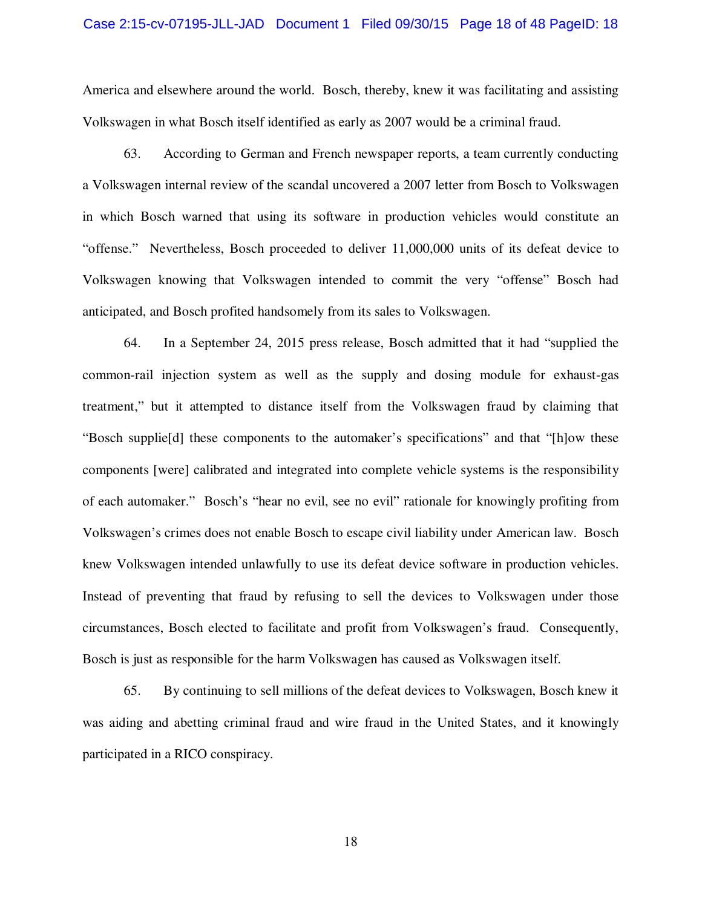#### Case 2:15-cv-07195-JLL-JAD Document 1 Filed 09/30/15 Page 18 of 48 PageID: 18

America and elsewhere around the world. Bosch, thereby, knew it was facilitating and assisting Volkswagen in what Bosch itself identified as early as 2007 would be a criminal fraud.

63. According to German and French newspaper reports, a team currently conducting a Volkswagen internal review of the scandal uncovered a 2007 letter from Bosch to Volkswagen in which Bosch warned that using its software in production vehicles would constitute an "offense." Nevertheless, Bosch proceeded to deliver 11,000,000 units of its defeat device to Volkswagen knowing that Volkswagen intended to commit the very "offense" Bosch had anticipated, and Bosch profited handsomely from its sales to Volkswagen.

64. In a September 24, 2015 press release, Bosch admitted that it had "supplied the common-rail injection system as well as the supply and dosing module for exhaust-gas treatment," but it attempted to distance itself from the Volkswagen fraud by claiming that "Bosch supplie[d] these components to the automaker's specifications" and that "[h]ow these components [were] calibrated and integrated into complete vehicle systems is the responsibility of each automaker." Bosch's "hear no evil, see no evil" rationale for knowingly profiting from Volkswagen's crimes does not enable Bosch to escape civil liability under American law. Bosch knew Volkswagen intended unlawfully to use its defeat device software in production vehicles. Instead of preventing that fraud by refusing to sell the devices to Volkswagen under those circumstances, Bosch elected to facilitate and profit from Volkswagen's fraud. Consequently, Bosch is just as responsible for the harm Volkswagen has caused as Volkswagen itself.

65. By continuing to sell millions of the defeat devices to Volkswagen, Bosch knew it was aiding and abetting criminal fraud and wire fraud in the United States, and it knowingly participated in a RICO conspiracy.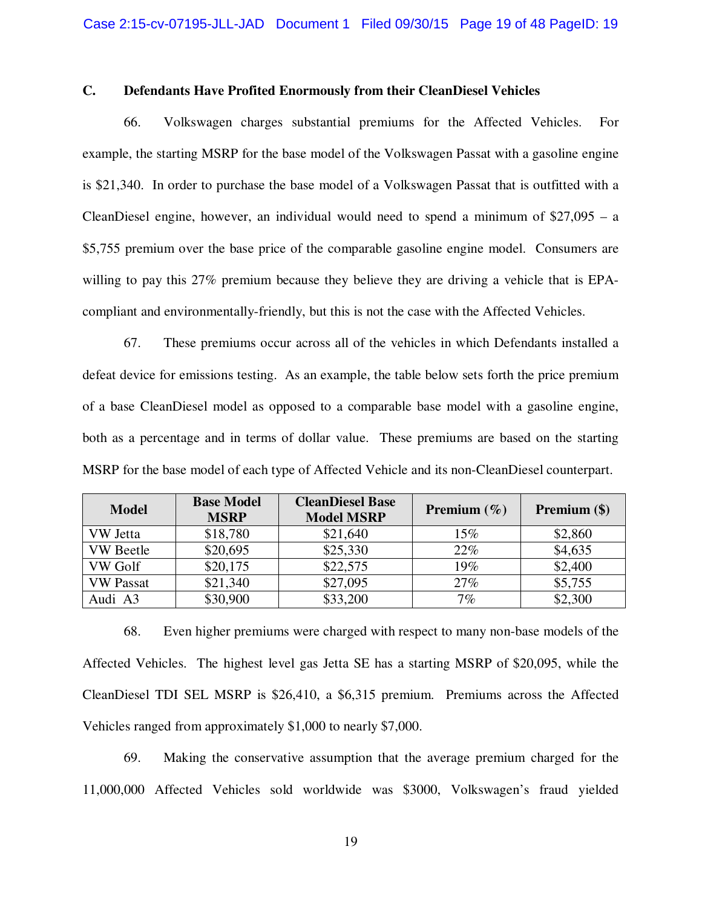### **C. Defendants Have Profited Enormously from their CleanDiesel Vehicles**

66. Volkswagen charges substantial premiums for the Affected Vehicles. For example, the starting MSRP for the base model of the Volkswagen Passat with a gasoline engine is \$21,340. In order to purchase the base model of a Volkswagen Passat that is outfitted with a CleanDiesel engine, however, an individual would need to spend a minimum of  $$27,095 - a$ \$5,755 premium over the base price of the comparable gasoline engine model. Consumers are willing to pay this 27% premium because they believe they are driving a vehicle that is EPAcompliant and environmentally-friendly, but this is not the case with the Affected Vehicles.

67. These premiums occur across all of the vehicles in which Defendants installed a defeat device for emissions testing. As an example, the table below sets forth the price premium of a base CleanDiesel model as opposed to a comparable base model with a gasoline engine, both as a percentage and in terms of dollar value. These premiums are based on the starting MSRP for the base model of each type of Affected Vehicle and its non-CleanDiesel counterpart.

| <b>Model</b>     | <b>Base Model</b><br><b>MSRP</b> | <b>CleanDiesel Base</b><br><b>Model MSRP</b> | <b>Premium</b> $(\%)$ | Premium (\$) |
|------------------|----------------------------------|----------------------------------------------|-----------------------|--------------|
| VW Jetta         | \$18,780                         | \$21,640                                     | $15\%$                | \$2,860      |
| <b>VW</b> Beetle | \$20,695                         | \$25,330                                     | 22%                   | \$4,635      |
| VW Golf          | \$20,175                         | \$22,575                                     | 19%                   | \$2,400      |
| <b>VW Passat</b> | \$21,340                         | \$27,095                                     | 27%                   | \$5,755      |
| Audi A3          | \$30,900                         | \$33,200                                     | 7%                    | \$2,300      |

68. Even higher premiums were charged with respect to many non-base models of the Affected Vehicles. The highest level gas Jetta SE has a starting MSRP of \$20,095, while the CleanDiesel TDI SEL MSRP is \$26,410, a \$6,315 premium. Premiums across the Affected Vehicles ranged from approximately \$1,000 to nearly \$7,000.

69. Making the conservative assumption that the average premium charged for the 11,000,000 Affected Vehicles sold worldwide was \$3000, Volkswagen's fraud yielded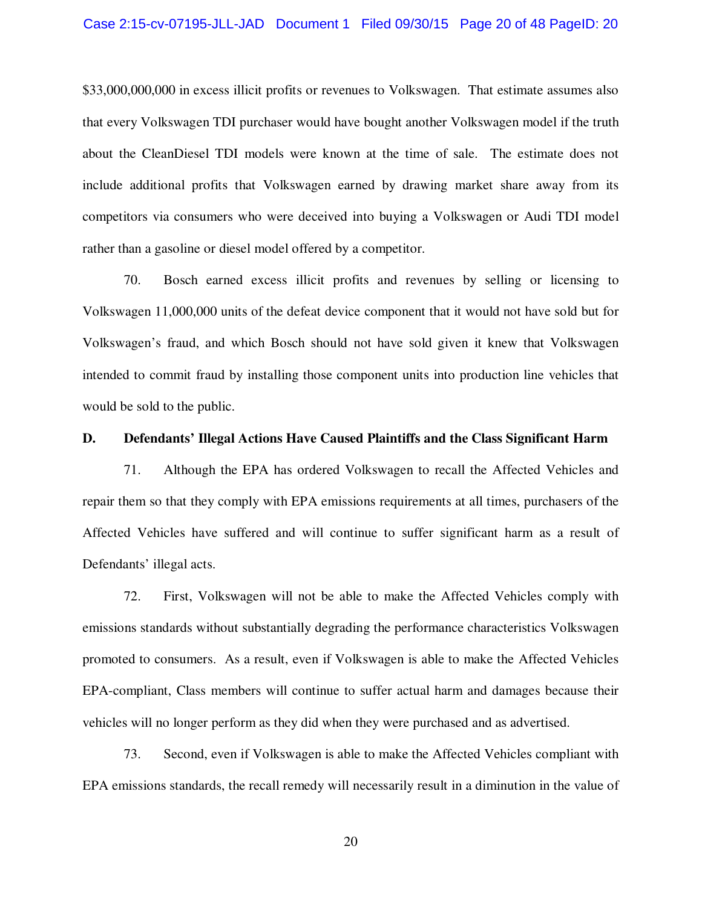#### Case 2:15-cv-07195-JLL-JAD Document 1 Filed 09/30/15 Page 20 of 48 PageID: 20

\$33,000,000,000 in excess illicit profits or revenues to Volkswagen. That estimate assumes also that every Volkswagen TDI purchaser would have bought another Volkswagen model if the truth about the CleanDiesel TDI models were known at the time of sale. The estimate does not include additional profits that Volkswagen earned by drawing market share away from its competitors via consumers who were deceived into buying a Volkswagen or Audi TDI model rather than a gasoline or diesel model offered by a competitor.

70. Bosch earned excess illicit profits and revenues by selling or licensing to Volkswagen 11,000,000 units of the defeat device component that it would not have sold but for Volkswagen's fraud, and which Bosch should not have sold given it knew that Volkswagen intended to commit fraud by installing those component units into production line vehicles that would be sold to the public.

### **D. Defendants' Illegal Actions Have Caused Plaintiffs and the Class Significant Harm**

71. Although the EPA has ordered Volkswagen to recall the Affected Vehicles and repair them so that they comply with EPA emissions requirements at all times, purchasers of the Affected Vehicles have suffered and will continue to suffer significant harm as a result of Defendants' illegal acts.

72. First, Volkswagen will not be able to make the Affected Vehicles comply with emissions standards without substantially degrading the performance characteristics Volkswagen promoted to consumers. As a result, even if Volkswagen is able to make the Affected Vehicles EPA-compliant, Class members will continue to suffer actual harm and damages because their vehicles will no longer perform as they did when they were purchased and as advertised.

73. Second, even if Volkswagen is able to make the Affected Vehicles compliant with EPA emissions standards, the recall remedy will necessarily result in a diminution in the value of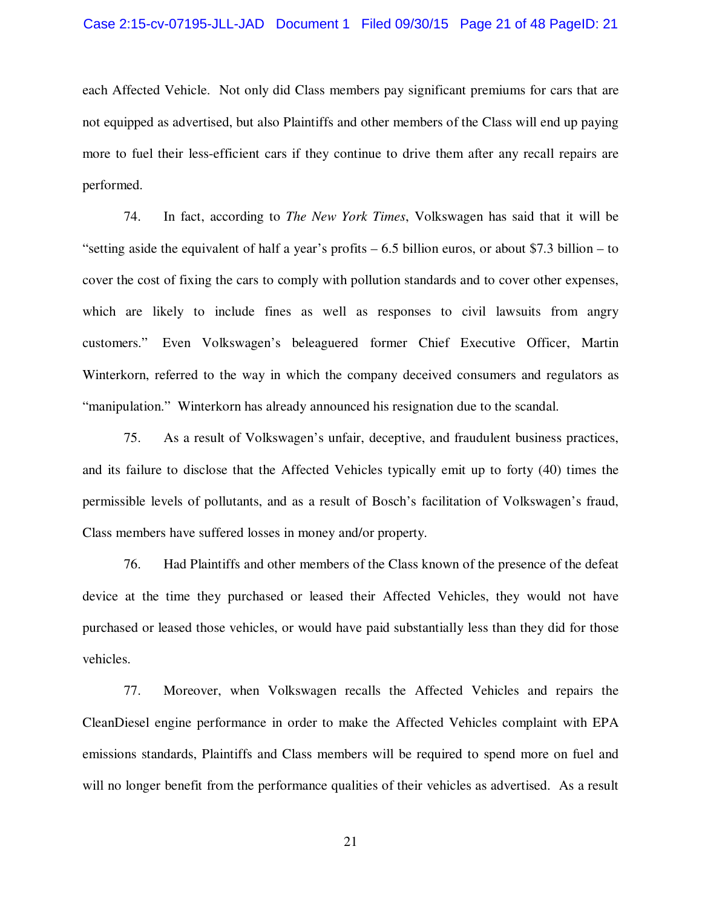#### Case 2:15-cv-07195-JLL-JAD Document 1 Filed 09/30/15 Page 21 of 48 PageID: 21

each Affected Vehicle. Not only did Class members pay significant premiums for cars that are not equipped as advertised, but also Plaintiffs and other members of the Class will end up paying more to fuel their less-efficient cars if they continue to drive them after any recall repairs are performed.

74. In fact, according to *The New York Times*, Volkswagen has said that it will be "setting aside the equivalent of half a year's profits – 6.5 billion euros, or about \$7.3 billion – to cover the cost of fixing the cars to comply with pollution standards and to cover other expenses, which are likely to include fines as well as responses to civil lawsuits from angry customers." Even Volkswagen's beleaguered former Chief Executive Officer, Martin Winterkorn, referred to the way in which the company deceived consumers and regulators as "manipulation." Winterkorn has already announced his resignation due to the scandal.

75. As a result of Volkswagen's unfair, deceptive, and fraudulent business practices, and its failure to disclose that the Affected Vehicles typically emit up to forty (40) times the permissible levels of pollutants, and as a result of Bosch's facilitation of Volkswagen's fraud, Class members have suffered losses in money and/or property.

76. Had Plaintiffs and other members of the Class known of the presence of the defeat device at the time they purchased or leased their Affected Vehicles, they would not have purchased or leased those vehicles, or would have paid substantially less than they did for those vehicles.

77. Moreover, when Volkswagen recalls the Affected Vehicles and repairs the CleanDiesel engine performance in order to make the Affected Vehicles complaint with EPA emissions standards, Plaintiffs and Class members will be required to spend more on fuel and will no longer benefit from the performance qualities of their vehicles as advertised. As a result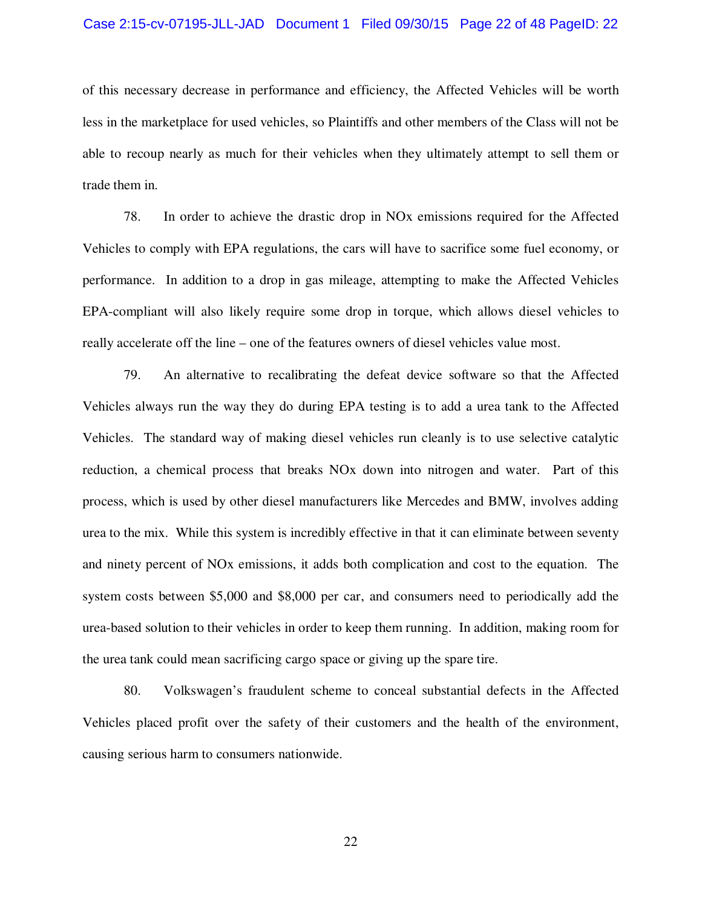#### Case 2:15-cv-07195-JLL-JAD Document 1 Filed 09/30/15 Page 22 of 48 PageID: 22

of this necessary decrease in performance and efficiency, the Affected Vehicles will be worth less in the marketplace for used vehicles, so Plaintiffs and other members of the Class will not be able to recoup nearly as much for their vehicles when they ultimately attempt to sell them or trade them in.

78. In order to achieve the drastic drop in NOx emissions required for the Affected Vehicles to comply with EPA regulations, the cars will have to sacrifice some fuel economy, or performance. In addition to a drop in gas mileage, attempting to make the Affected Vehicles EPA-compliant will also likely require some drop in torque, which allows diesel vehicles to really accelerate off the line – one of the features owners of diesel vehicles value most.

79. An alternative to recalibrating the defeat device software so that the Affected Vehicles always run the way they do during EPA testing is to add a urea tank to the Affected Vehicles. The standard way of making diesel vehicles run cleanly is to use selective catalytic reduction, a chemical process that breaks NOx down into nitrogen and water. Part of this process, which is used by other diesel manufacturers like Mercedes and BMW, involves adding urea to the mix. While this system is incredibly effective in that it can eliminate between seventy and ninety percent of NOx emissions, it adds both complication and cost to the equation. The system costs between \$5,000 and \$8,000 per car, and consumers need to periodically add the urea-based solution to their vehicles in order to keep them running. In addition, making room for the urea tank could mean sacrificing cargo space or giving up the spare tire.

80. Volkswagen's fraudulent scheme to conceal substantial defects in the Affected Vehicles placed profit over the safety of their customers and the health of the environment, causing serious harm to consumers nationwide.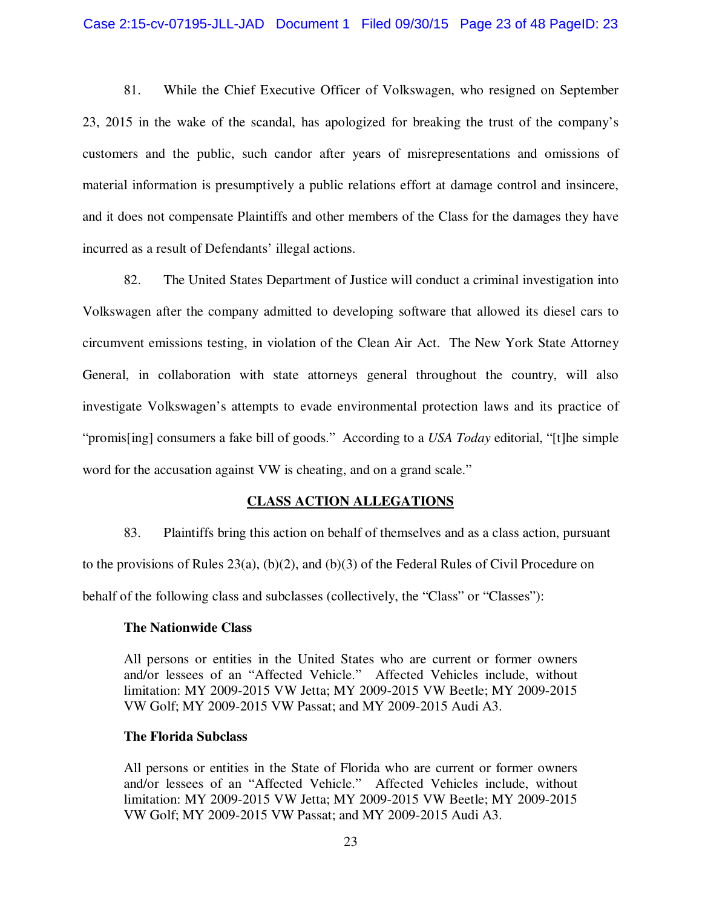81. While the Chief Executive Officer of Volkswagen, who resigned on September 23, 2015 in the wake of the scandal, has apologized for breaking the trust of the company's customers and the public, such candor after years of misrepresentations and omissions of material information is presumptively a public relations effort at damage control and insincere, and it does not compensate Plaintiffs and other members of the Class for the damages they have incurred as a result of Defendants' illegal actions.

82. The United States Department of Justice will conduct a criminal investigation into Volkswagen after the company admitted to developing software that allowed its diesel cars to circumvent emissions testing, in violation of the Clean Air Act. The New York State Attorney General, in collaboration with state attorneys general throughout the country, will also investigate Volkswagen's attempts to evade environmental protection laws and its practice of "promis[ing] consumers a fake bill of goods." According to a *USA Today* editorial, "[t]he simple word for the accusation against VW is cheating, and on a grand scale."

### **CLASS ACTION ALLEGATIONS**

83. Plaintiffs bring this action on behalf of themselves and as a class action, pursuant to the provisions of Rules  $23(a)$ , (b)(2), and (b)(3) of the Federal Rules of Civil Procedure on behalf of the following class and subclasses (collectively, the "Class" or "Classes"):

### **The Nationwide Class**

All persons or entities in the United States who are current or former owners and/or lessees of an "Affected Vehicle." Affected Vehicles include, without limitation: MY 2009-2015 VW Jetta; MY 2009-2015 VW Beetle; MY 2009-2015 VW Golf; MY 2009-2015 VW Passat; and MY 2009-2015 Audi A3.

### **The Florida Subclass**

All persons or entities in the State of Florida who are current or former owners and/or lessees of an "Affected Vehicle." Affected Vehicles include, without limitation: MY 2009-2015 VW Jetta; MY 2009-2015 VW Beetle; MY 2009-2015 VW Golf; MY 2009-2015 VW Passat; and MY 2009-2015 Audi A3.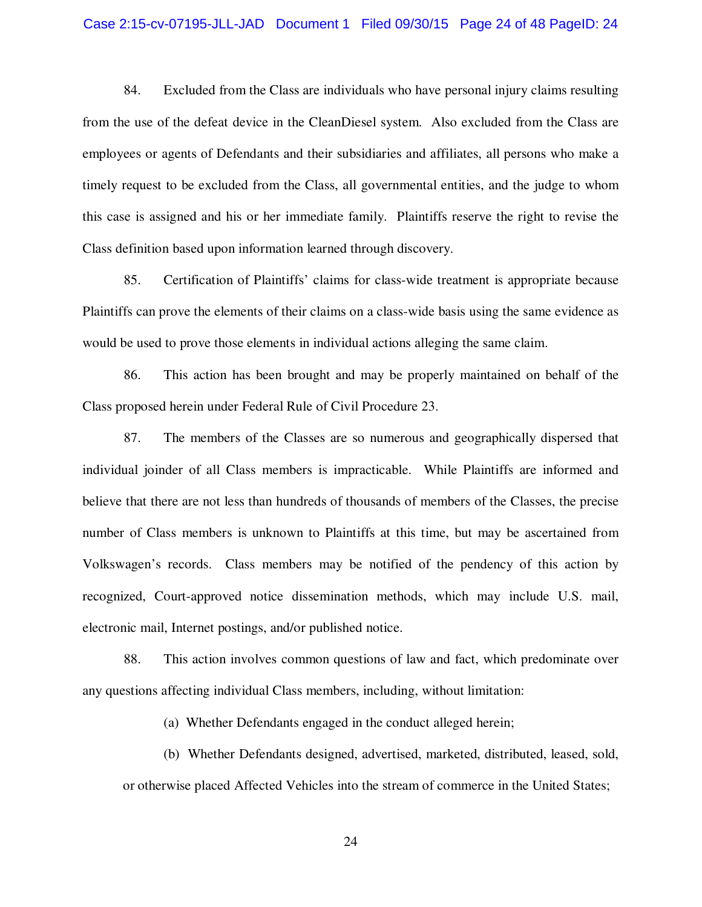#### Case 2:15-cv-07195-JLL-JAD Document 1 Filed 09/30/15 Page 24 of 48 PageID: 24

84. Excluded from the Class are individuals who have personal injury claims resulting from the use of the defeat device in the CleanDiesel system. Also excluded from the Class are employees or agents of Defendants and their subsidiaries and affiliates, all persons who make a timely request to be excluded from the Class, all governmental entities, and the judge to whom this case is assigned and his or her immediate family. Plaintiffs reserve the right to revise the Class definition based upon information learned through discovery.

85. Certification of Plaintiffs' claims for class-wide treatment is appropriate because Plaintiffs can prove the elements of their claims on a class-wide basis using the same evidence as would be used to prove those elements in individual actions alleging the same claim.

86. This action has been brought and may be properly maintained on behalf of the Class proposed herein under Federal Rule of Civil Procedure 23.

87. The members of the Classes are so numerous and geographically dispersed that individual joinder of all Class members is impracticable. While Plaintiffs are informed and believe that there are not less than hundreds of thousands of members of the Classes, the precise number of Class members is unknown to Plaintiffs at this time, but may be ascertained from Volkswagen's records. Class members may be notified of the pendency of this action by recognized, Court-approved notice dissemination methods, which may include U.S. mail, electronic mail, Internet postings, and/or published notice.

88. This action involves common questions of law and fact, which predominate over any questions affecting individual Class members, including, without limitation:

(a) Whether Defendants engaged in the conduct alleged herein;

(b) Whether Defendants designed, advertised, marketed, distributed, leased, sold, or otherwise placed Affected Vehicles into the stream of commerce in the United States;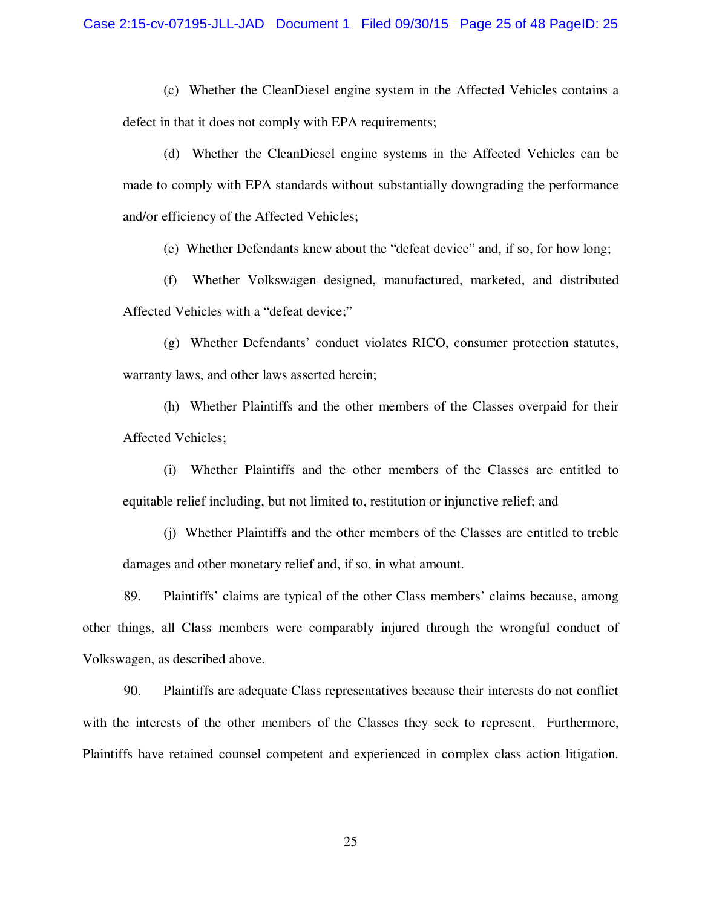(c) Whether the CleanDiesel engine system in the Affected Vehicles contains a defect in that it does not comply with EPA requirements;

(d) Whether the CleanDiesel engine systems in the Affected Vehicles can be made to comply with EPA standards without substantially downgrading the performance and/or efficiency of the Affected Vehicles;

(e) Whether Defendants knew about the "defeat device" and, if so, for how long;

(f) Whether Volkswagen designed, manufactured, marketed, and distributed Affected Vehicles with a "defeat device;"

(g) Whether Defendants' conduct violates RICO, consumer protection statutes, warranty laws, and other laws asserted herein;

(h) Whether Plaintiffs and the other members of the Classes overpaid for their Affected Vehicles;

(i) Whether Plaintiffs and the other members of the Classes are entitled to equitable relief including, but not limited to, restitution or injunctive relief; and

(j) Whether Plaintiffs and the other members of the Classes are entitled to treble damages and other monetary relief and, if so, in what amount.

89. Plaintiffs' claims are typical of the other Class members' claims because, among other things, all Class members were comparably injured through the wrongful conduct of Volkswagen, as described above.

90. Plaintiffs are adequate Class representatives because their interests do not conflict with the interests of the other members of the Classes they seek to represent. Furthermore, Plaintiffs have retained counsel competent and experienced in complex class action litigation.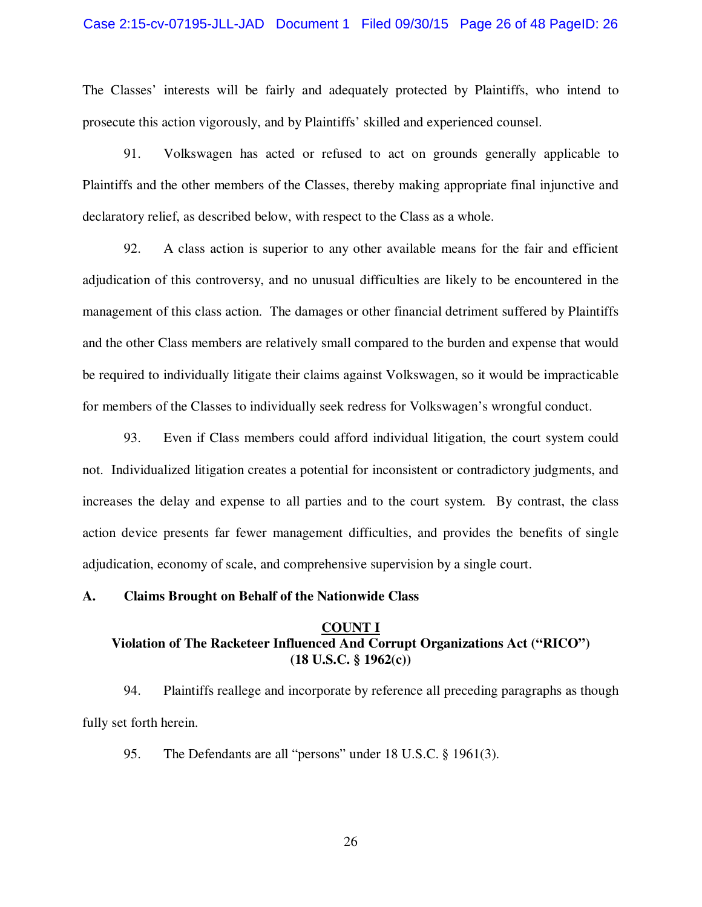### Case 2:15-cv-07195-JLL-JAD Document 1 Filed 09/30/15 Page 26 of 48 PageID: 26

The Classes' interests will be fairly and adequately protected by Plaintiffs, who intend to prosecute this action vigorously, and by Plaintiffs' skilled and experienced counsel.

91. Volkswagen has acted or refused to act on grounds generally applicable to Plaintiffs and the other members of the Classes, thereby making appropriate final injunctive and declaratory relief, as described below, with respect to the Class as a whole.

92. A class action is superior to any other available means for the fair and efficient adjudication of this controversy, and no unusual difficulties are likely to be encountered in the management of this class action. The damages or other financial detriment suffered by Plaintiffs and the other Class members are relatively small compared to the burden and expense that would be required to individually litigate their claims against Volkswagen, so it would be impracticable for members of the Classes to individually seek redress for Volkswagen's wrongful conduct.

93. Even if Class members could afford individual litigation, the court system could not. Individualized litigation creates a potential for inconsistent or contradictory judgments, and increases the delay and expense to all parties and to the court system. By contrast, the class action device presents far fewer management difficulties, and provides the benefits of single adjudication, economy of scale, and comprehensive supervision by a single court.

#### **A. Claims Brought on Behalf of the Nationwide Class**

## **COUNT I Violation of The Racketeer Influenced And Corrupt Organizations Act ("RICO") (18 U.S.C. § 1962(c))**

94. Plaintiffs reallege and incorporate by reference all preceding paragraphs as though fully set forth herein.

95. The Defendants are all "persons" under 18 U.S.C. § 1961(3).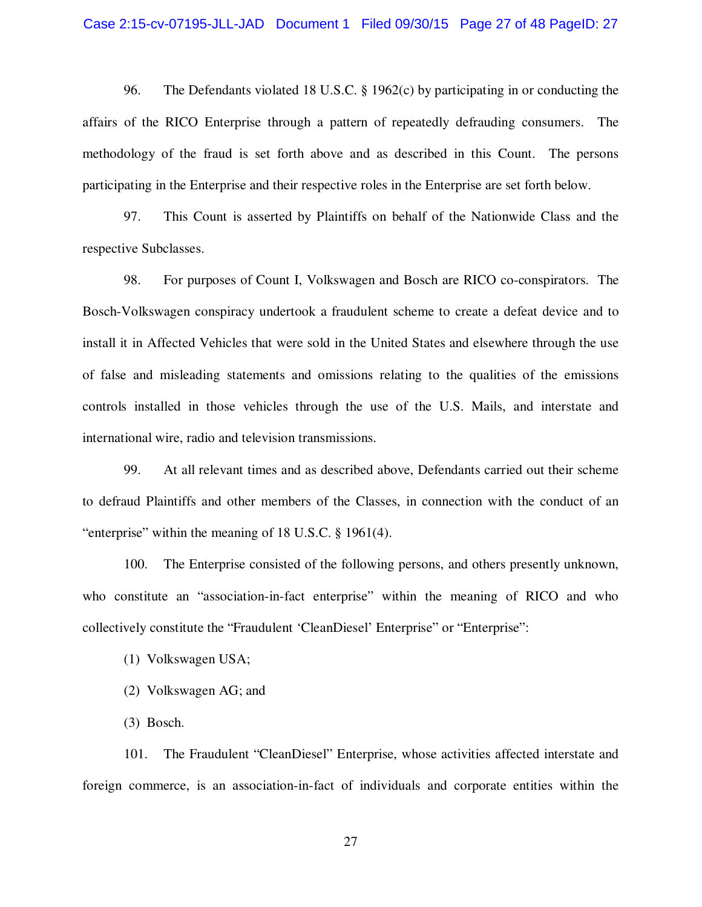#### Case 2:15-cv-07195-JLL-JAD Document 1 Filed 09/30/15 Page 27 of 48 PageID: 27

96. The Defendants violated 18 U.S.C. § 1962(c) by participating in or conducting the affairs of the RICO Enterprise through a pattern of repeatedly defrauding consumers. The methodology of the fraud is set forth above and as described in this Count. The persons participating in the Enterprise and their respective roles in the Enterprise are set forth below.

97. This Count is asserted by Plaintiffs on behalf of the Nationwide Class and the respective Subclasses.

98. For purposes of Count I, Volkswagen and Bosch are RICO co-conspirators. The Bosch-Volkswagen conspiracy undertook a fraudulent scheme to create a defeat device and to install it in Affected Vehicles that were sold in the United States and elsewhere through the use of false and misleading statements and omissions relating to the qualities of the emissions controls installed in those vehicles through the use of the U.S. Mails, and interstate and international wire, radio and television transmissions.

99. At all relevant times and as described above, Defendants carried out their scheme to defraud Plaintiffs and other members of the Classes, in connection with the conduct of an "enterprise" within the meaning of 18 U.S.C. § 1961(4).

100. The Enterprise consisted of the following persons, and others presently unknown, who constitute an "association-in-fact enterprise" within the meaning of RICO and who collectively constitute the "Fraudulent 'CleanDiesel' Enterprise" or "Enterprise":

- (1) Volkswagen USA;
- (2) Volkswagen AG; and

(3) Bosch.

101. The Fraudulent "CleanDiesel" Enterprise, whose activities affected interstate and foreign commerce, is an association-in-fact of individuals and corporate entities within the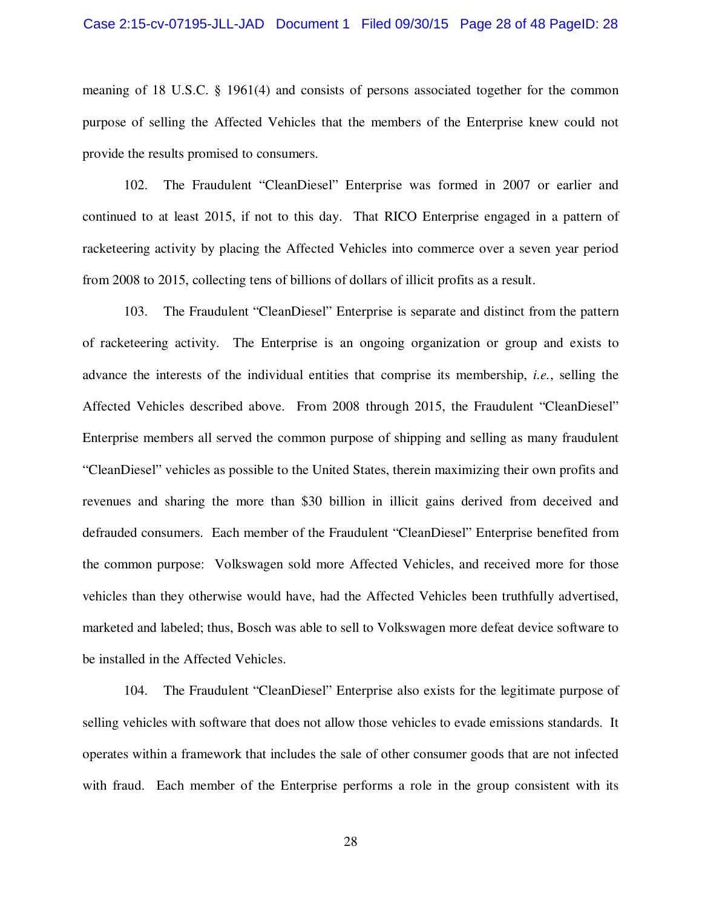meaning of 18 U.S.C. § 1961(4) and consists of persons associated together for the common purpose of selling the Affected Vehicles that the members of the Enterprise knew could not provide the results promised to consumers.

102. The Fraudulent "CleanDiesel" Enterprise was formed in 2007 or earlier and continued to at least 2015, if not to this day. That RICO Enterprise engaged in a pattern of racketeering activity by placing the Affected Vehicles into commerce over a seven year period from 2008 to 2015, collecting tens of billions of dollars of illicit profits as a result.

103. The Fraudulent "CleanDiesel" Enterprise is separate and distinct from the pattern of racketeering activity. The Enterprise is an ongoing organization or group and exists to advance the interests of the individual entities that comprise its membership, *i.e.*, selling the Affected Vehicles described above. From 2008 through 2015, the Fraudulent "CleanDiesel" Enterprise members all served the common purpose of shipping and selling as many fraudulent "CleanDiesel" vehicles as possible to the United States, therein maximizing their own profits and revenues and sharing the more than \$30 billion in illicit gains derived from deceived and defrauded consumers. Each member of the Fraudulent "CleanDiesel" Enterprise benefited from the common purpose: Volkswagen sold more Affected Vehicles, and received more for those vehicles than they otherwise would have, had the Affected Vehicles been truthfully advertised, marketed and labeled; thus, Bosch was able to sell to Volkswagen more defeat device software to be installed in the Affected Vehicles.

104. The Fraudulent "CleanDiesel" Enterprise also exists for the legitimate purpose of selling vehicles with software that does not allow those vehicles to evade emissions standards. It operates within a framework that includes the sale of other consumer goods that are not infected with fraud. Each member of the Enterprise performs a role in the group consistent with its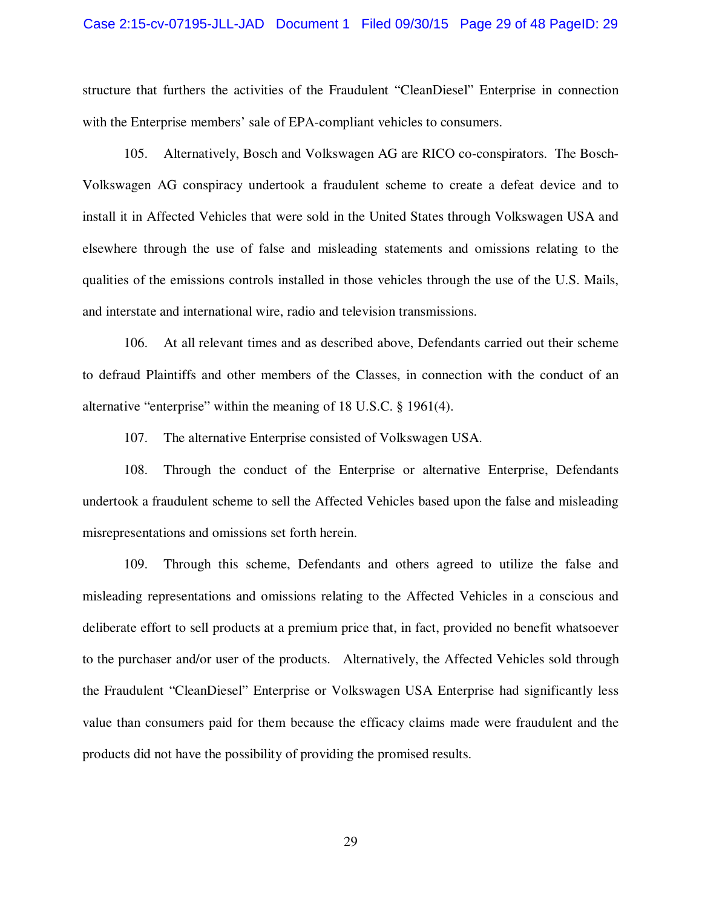#### Case 2:15-cv-07195-JLL-JAD Document 1 Filed 09/30/15 Page 29 of 48 PageID: 29

structure that furthers the activities of the Fraudulent "CleanDiesel" Enterprise in connection with the Enterprise members' sale of EPA-compliant vehicles to consumers.

105. Alternatively, Bosch and Volkswagen AG are RICO co-conspirators. The Bosch-Volkswagen AG conspiracy undertook a fraudulent scheme to create a defeat device and to install it in Affected Vehicles that were sold in the United States through Volkswagen USA and elsewhere through the use of false and misleading statements and omissions relating to the qualities of the emissions controls installed in those vehicles through the use of the U.S. Mails, and interstate and international wire, radio and television transmissions.

106. At all relevant times and as described above, Defendants carried out their scheme to defraud Plaintiffs and other members of the Classes, in connection with the conduct of an alternative "enterprise" within the meaning of 18 U.S.C. § 1961(4).

107. The alternative Enterprise consisted of Volkswagen USA.

108. Through the conduct of the Enterprise or alternative Enterprise, Defendants undertook a fraudulent scheme to sell the Affected Vehicles based upon the false and misleading misrepresentations and omissions set forth herein.

109. Through this scheme, Defendants and others agreed to utilize the false and misleading representations and omissions relating to the Affected Vehicles in a conscious and deliberate effort to sell products at a premium price that, in fact, provided no benefit whatsoever to the purchaser and/or user of the products. Alternatively, the Affected Vehicles sold through the Fraudulent "CleanDiesel" Enterprise or Volkswagen USA Enterprise had significantly less value than consumers paid for them because the efficacy claims made were fraudulent and the products did not have the possibility of providing the promised results.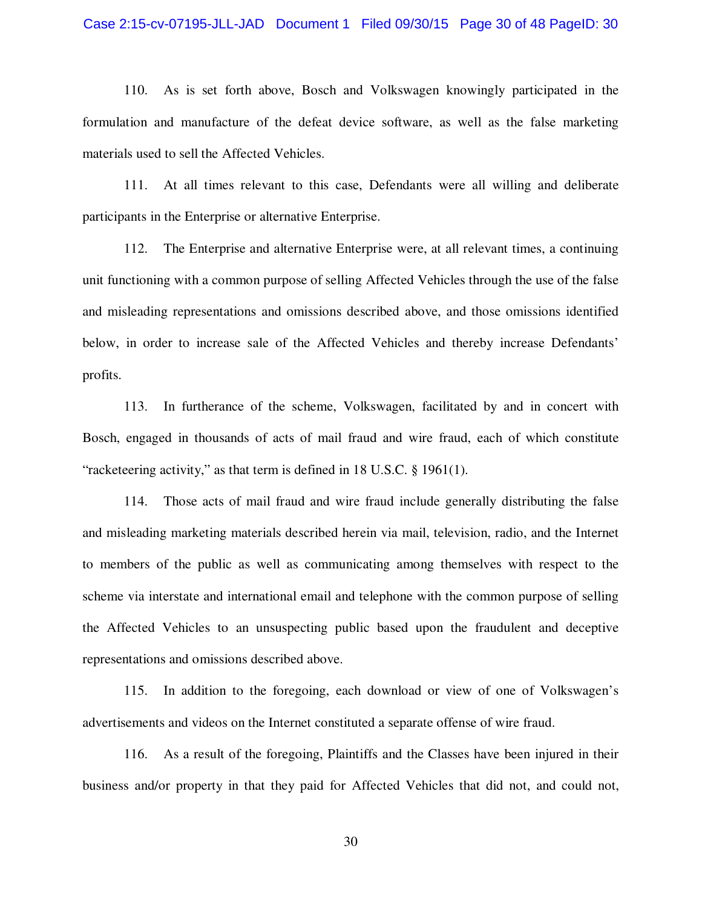#### Case 2:15-cv-07195-JLL-JAD Document 1 Filed 09/30/15 Page 30 of 48 PageID: 30

110. As is set forth above, Bosch and Volkswagen knowingly participated in the formulation and manufacture of the defeat device software, as well as the false marketing materials used to sell the Affected Vehicles.

111. At all times relevant to this case, Defendants were all willing and deliberate participants in the Enterprise or alternative Enterprise.

112. The Enterprise and alternative Enterprise were, at all relevant times, a continuing unit functioning with a common purpose of selling Affected Vehicles through the use of the false and misleading representations and omissions described above, and those omissions identified below, in order to increase sale of the Affected Vehicles and thereby increase Defendants' profits.

113. In furtherance of the scheme, Volkswagen, facilitated by and in concert with Bosch, engaged in thousands of acts of mail fraud and wire fraud, each of which constitute "racketeering activity," as that term is defined in 18 U.S.C. § 1961(1).

114. Those acts of mail fraud and wire fraud include generally distributing the false and misleading marketing materials described herein via mail, television, radio, and the Internet to members of the public as well as communicating among themselves with respect to the scheme via interstate and international email and telephone with the common purpose of selling the Affected Vehicles to an unsuspecting public based upon the fraudulent and deceptive representations and omissions described above.

115. In addition to the foregoing, each download or view of one of Volkswagen's advertisements and videos on the Internet constituted a separate offense of wire fraud.

116. As a result of the foregoing, Plaintiffs and the Classes have been injured in their business and/or property in that they paid for Affected Vehicles that did not, and could not,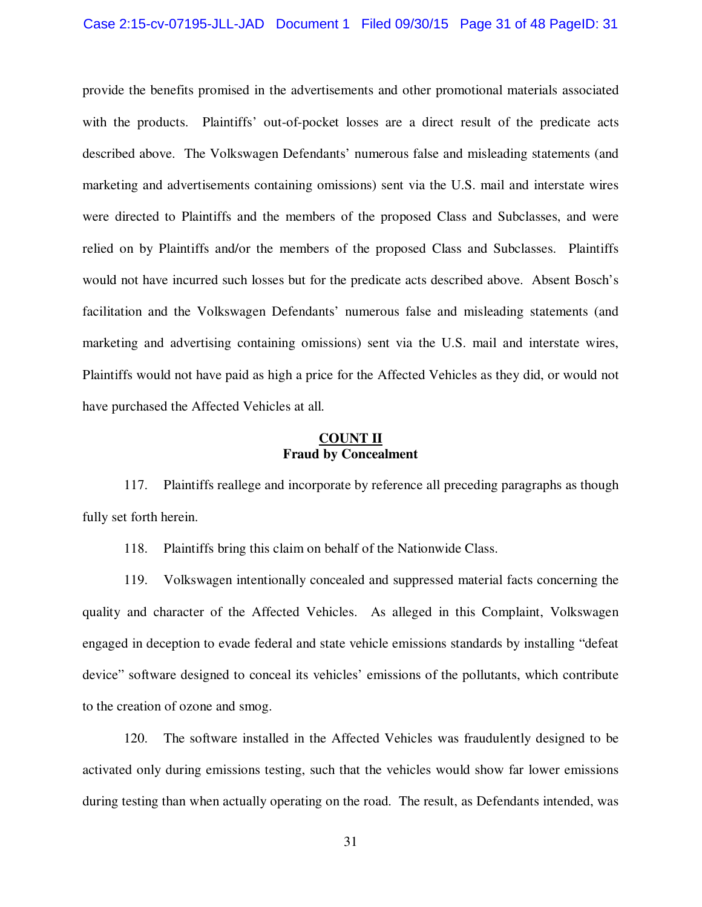provide the benefits promised in the advertisements and other promotional materials associated with the products. Plaintiffs' out-of-pocket losses are a direct result of the predicate acts described above. The Volkswagen Defendants' numerous false and misleading statements (and marketing and advertisements containing omissions) sent via the U.S. mail and interstate wires were directed to Plaintiffs and the members of the proposed Class and Subclasses, and were relied on by Plaintiffs and/or the members of the proposed Class and Subclasses. Plaintiffs would not have incurred such losses but for the predicate acts described above. Absent Bosch's facilitation and the Volkswagen Defendants' numerous false and misleading statements (and marketing and advertising containing omissions) sent via the U.S. mail and interstate wires, Plaintiffs would not have paid as high a price for the Affected Vehicles as they did, or would not have purchased the Affected Vehicles at all.

# **COUNT II Fraud by Concealment**

117. Plaintiffs reallege and incorporate by reference all preceding paragraphs as though fully set forth herein.

118. Plaintiffs bring this claim on behalf of the Nationwide Class.

119. Volkswagen intentionally concealed and suppressed material facts concerning the quality and character of the Affected Vehicles. As alleged in this Complaint, Volkswagen engaged in deception to evade federal and state vehicle emissions standards by installing "defeat device" software designed to conceal its vehicles' emissions of the pollutants, which contribute to the creation of ozone and smog.

120. The software installed in the Affected Vehicles was fraudulently designed to be activated only during emissions testing, such that the vehicles would show far lower emissions during testing than when actually operating on the road. The result, as Defendants intended, was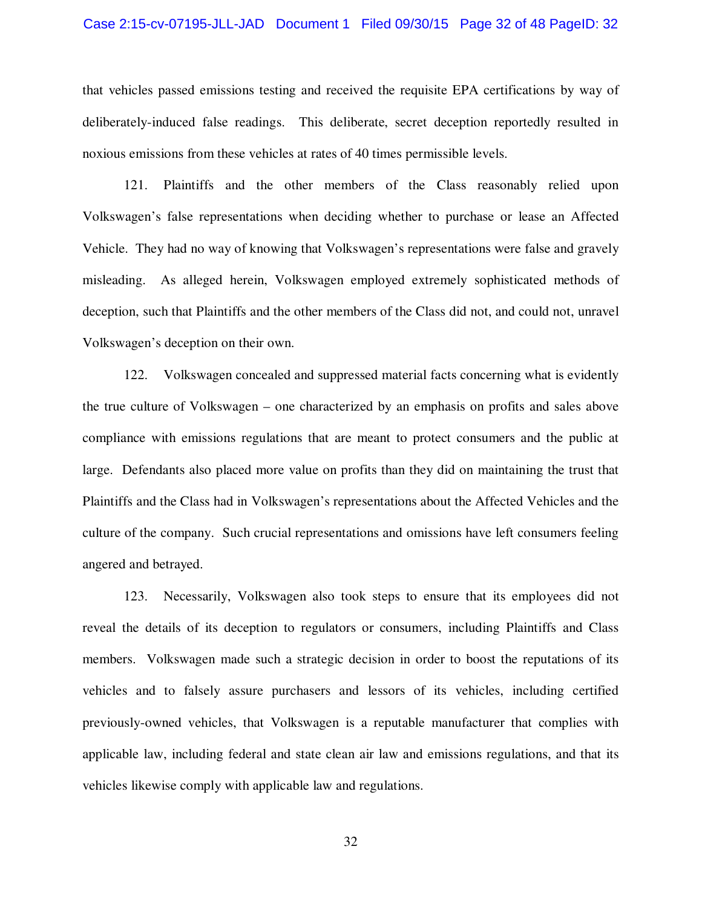#### Case 2:15-cv-07195-JLL-JAD Document 1 Filed 09/30/15 Page 32 of 48 PageID: 32

that vehicles passed emissions testing and received the requisite EPA certifications by way of deliberately-induced false readings. This deliberate, secret deception reportedly resulted in noxious emissions from these vehicles at rates of 40 times permissible levels.

121. Plaintiffs and the other members of the Class reasonably relied upon Volkswagen's false representations when deciding whether to purchase or lease an Affected Vehicle. They had no way of knowing that Volkswagen's representations were false and gravely misleading. As alleged herein, Volkswagen employed extremely sophisticated methods of deception, such that Plaintiffs and the other members of the Class did not, and could not, unravel Volkswagen's deception on their own.

122. Volkswagen concealed and suppressed material facts concerning what is evidently the true culture of Volkswagen – one characterized by an emphasis on profits and sales above compliance with emissions regulations that are meant to protect consumers and the public at large. Defendants also placed more value on profits than they did on maintaining the trust that Plaintiffs and the Class had in Volkswagen's representations about the Affected Vehicles and the culture of the company. Such crucial representations and omissions have left consumers feeling angered and betrayed.

123. Necessarily, Volkswagen also took steps to ensure that its employees did not reveal the details of its deception to regulators or consumers, including Plaintiffs and Class members. Volkswagen made such a strategic decision in order to boost the reputations of its vehicles and to falsely assure purchasers and lessors of its vehicles, including certified previously-owned vehicles, that Volkswagen is a reputable manufacturer that complies with applicable law, including federal and state clean air law and emissions regulations, and that its vehicles likewise comply with applicable law and regulations.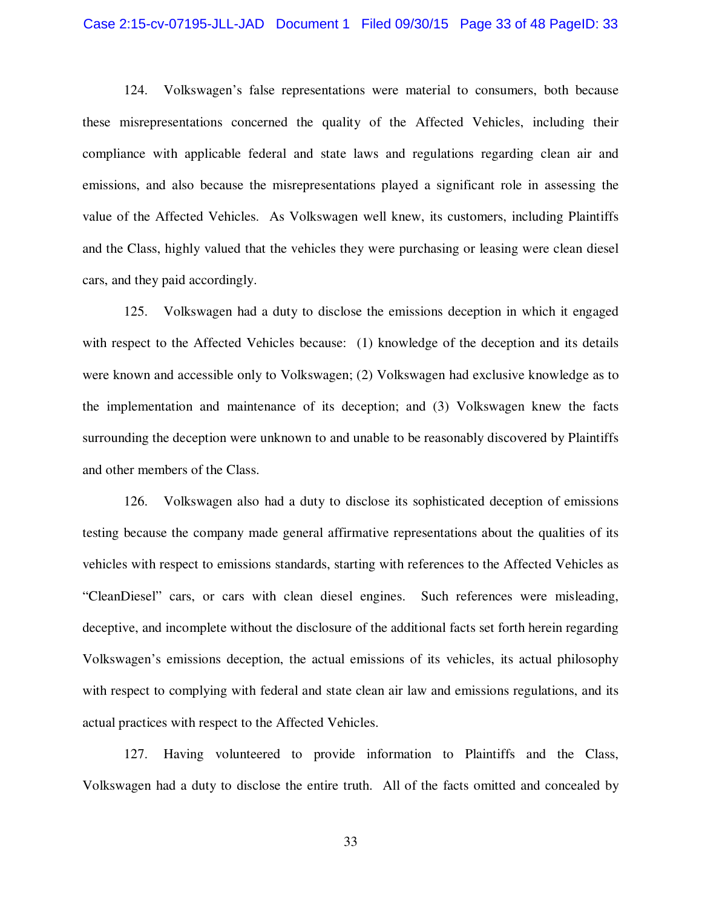#### Case 2:15-cv-07195-JLL-JAD Document 1 Filed 09/30/15 Page 33 of 48 PageID: 33

124. Volkswagen's false representations were material to consumers, both because these misrepresentations concerned the quality of the Affected Vehicles, including their compliance with applicable federal and state laws and regulations regarding clean air and emissions, and also because the misrepresentations played a significant role in assessing the value of the Affected Vehicles. As Volkswagen well knew, its customers, including Plaintiffs and the Class, highly valued that the vehicles they were purchasing or leasing were clean diesel cars, and they paid accordingly.

125. Volkswagen had a duty to disclose the emissions deception in which it engaged with respect to the Affected Vehicles because: (1) knowledge of the deception and its details were known and accessible only to Volkswagen; (2) Volkswagen had exclusive knowledge as to the implementation and maintenance of its deception; and (3) Volkswagen knew the facts surrounding the deception were unknown to and unable to be reasonably discovered by Plaintiffs and other members of the Class.

126. Volkswagen also had a duty to disclose its sophisticated deception of emissions testing because the company made general affirmative representations about the qualities of its vehicles with respect to emissions standards, starting with references to the Affected Vehicles as "CleanDiesel" cars, or cars with clean diesel engines. Such references were misleading, deceptive, and incomplete without the disclosure of the additional facts set forth herein regarding Volkswagen's emissions deception, the actual emissions of its vehicles, its actual philosophy with respect to complying with federal and state clean air law and emissions regulations, and its actual practices with respect to the Affected Vehicles.

127. Having volunteered to provide information to Plaintiffs and the Class, Volkswagen had a duty to disclose the entire truth. All of the facts omitted and concealed by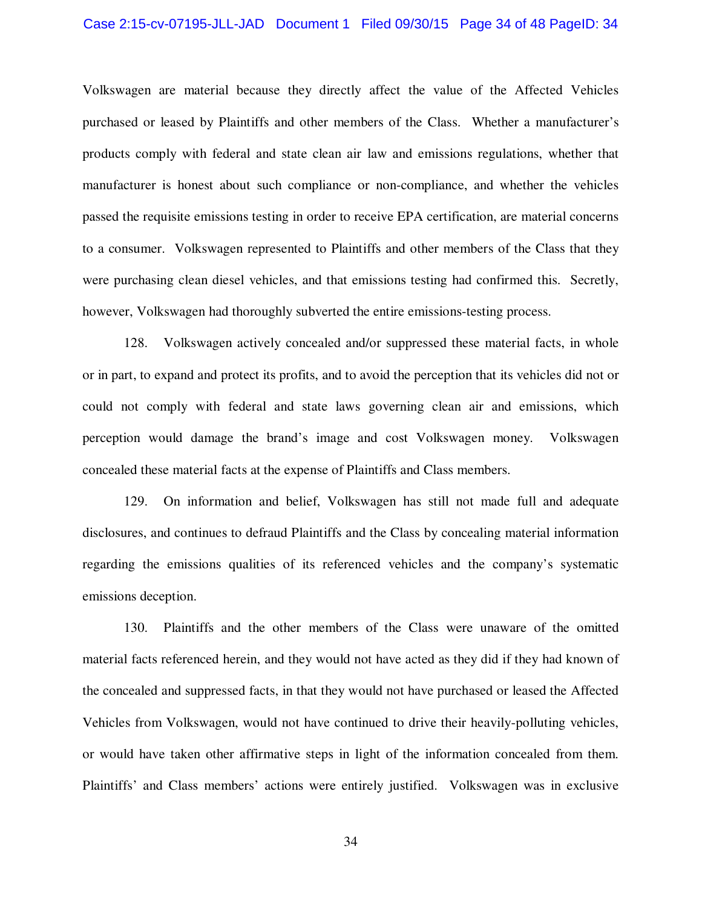#### Case 2:15-cv-07195-JLL-JAD Document 1 Filed 09/30/15 Page 34 of 48 PageID: 34

Volkswagen are material because they directly affect the value of the Affected Vehicles purchased or leased by Plaintiffs and other members of the Class. Whether a manufacturer's products comply with federal and state clean air law and emissions regulations, whether that manufacturer is honest about such compliance or non-compliance, and whether the vehicles passed the requisite emissions testing in order to receive EPA certification, are material concerns to a consumer. Volkswagen represented to Plaintiffs and other members of the Class that they were purchasing clean diesel vehicles, and that emissions testing had confirmed this. Secretly, however, Volkswagen had thoroughly subverted the entire emissions-testing process.

128. Volkswagen actively concealed and/or suppressed these material facts, in whole or in part, to expand and protect its profits, and to avoid the perception that its vehicles did not or could not comply with federal and state laws governing clean air and emissions, which perception would damage the brand's image and cost Volkswagen money. Volkswagen concealed these material facts at the expense of Plaintiffs and Class members.

129. On information and belief, Volkswagen has still not made full and adequate disclosures, and continues to defraud Plaintiffs and the Class by concealing material information regarding the emissions qualities of its referenced vehicles and the company's systematic emissions deception.

130. Plaintiffs and the other members of the Class were unaware of the omitted material facts referenced herein, and they would not have acted as they did if they had known of the concealed and suppressed facts, in that they would not have purchased or leased the Affected Vehicles from Volkswagen, would not have continued to drive their heavily-polluting vehicles, or would have taken other affirmative steps in light of the information concealed from them. Plaintiffs' and Class members' actions were entirely justified. Volkswagen was in exclusive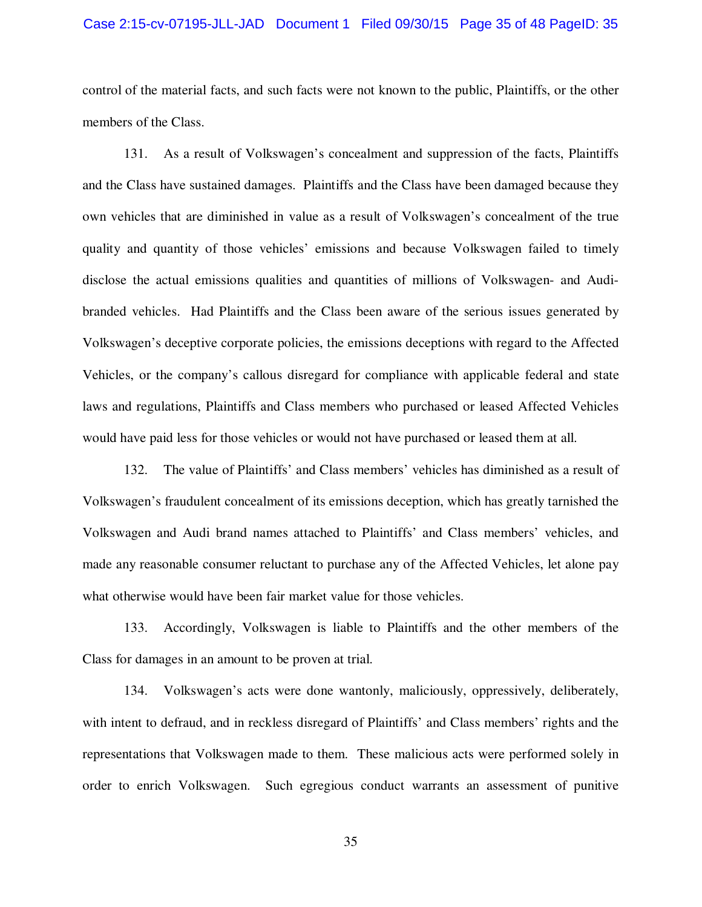#### Case 2:15-cv-07195-JLL-JAD Document 1 Filed 09/30/15 Page 35 of 48 PageID: 35

control of the material facts, and such facts were not known to the public, Plaintiffs, or the other members of the Class.

131. As a result of Volkswagen's concealment and suppression of the facts, Plaintiffs and the Class have sustained damages. Plaintiffs and the Class have been damaged because they own vehicles that are diminished in value as a result of Volkswagen's concealment of the true quality and quantity of those vehicles' emissions and because Volkswagen failed to timely disclose the actual emissions qualities and quantities of millions of Volkswagen- and Audibranded vehicles. Had Plaintiffs and the Class been aware of the serious issues generated by Volkswagen's deceptive corporate policies, the emissions deceptions with regard to the Affected Vehicles, or the company's callous disregard for compliance with applicable federal and state laws and regulations, Plaintiffs and Class members who purchased or leased Affected Vehicles would have paid less for those vehicles or would not have purchased or leased them at all.

132. The value of Plaintiffs' and Class members' vehicles has diminished as a result of Volkswagen's fraudulent concealment of its emissions deception, which has greatly tarnished the Volkswagen and Audi brand names attached to Plaintiffs' and Class members' vehicles, and made any reasonable consumer reluctant to purchase any of the Affected Vehicles, let alone pay what otherwise would have been fair market value for those vehicles.

133. Accordingly, Volkswagen is liable to Plaintiffs and the other members of the Class for damages in an amount to be proven at trial.

134. Volkswagen's acts were done wantonly, maliciously, oppressively, deliberately, with intent to defraud, and in reckless disregard of Plaintiffs' and Class members' rights and the representations that Volkswagen made to them. These malicious acts were performed solely in order to enrich Volkswagen. Such egregious conduct warrants an assessment of punitive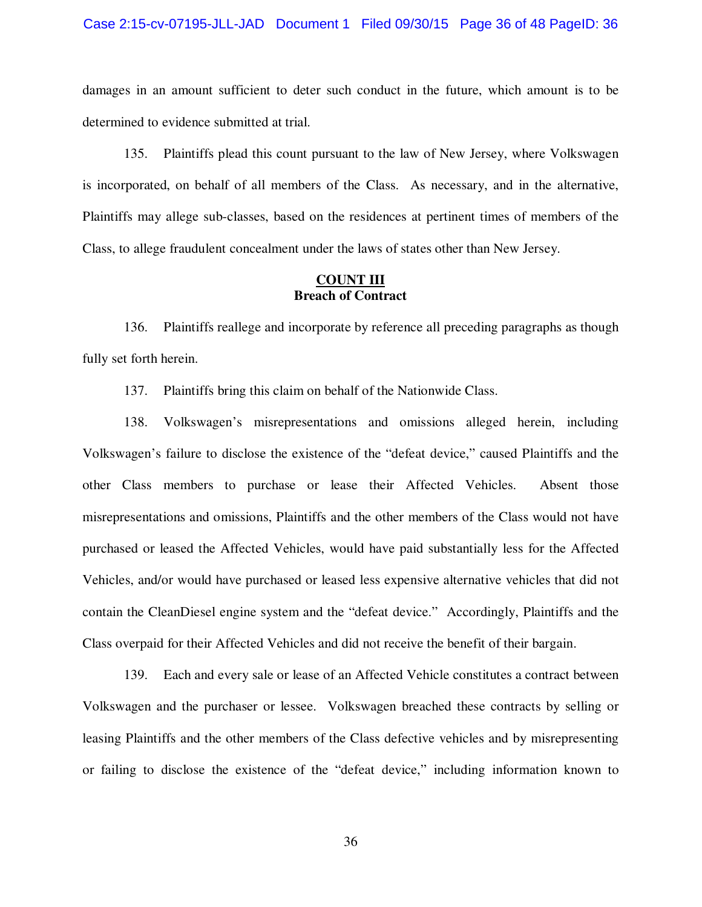#### Case 2:15-cv-07195-JLL-JAD Document 1 Filed 09/30/15 Page 36 of 48 PageID: 36

damages in an amount sufficient to deter such conduct in the future, which amount is to be determined to evidence submitted at trial.

135. Plaintiffs plead this count pursuant to the law of New Jersey, where Volkswagen is incorporated, on behalf of all members of the Class. As necessary, and in the alternative, Plaintiffs may allege sub-classes, based on the residences at pertinent times of members of the Class, to allege fraudulent concealment under the laws of states other than New Jersey.

### **COUNT III Breach of Contract**

136. Plaintiffs reallege and incorporate by reference all preceding paragraphs as though fully set forth herein.

137. Plaintiffs bring this claim on behalf of the Nationwide Class.

138. Volkswagen's misrepresentations and omissions alleged herein, including Volkswagen's failure to disclose the existence of the "defeat device," caused Plaintiffs and the other Class members to purchase or lease their Affected Vehicles. Absent those misrepresentations and omissions, Plaintiffs and the other members of the Class would not have purchased or leased the Affected Vehicles, would have paid substantially less for the Affected Vehicles, and/or would have purchased or leased less expensive alternative vehicles that did not contain the CleanDiesel engine system and the "defeat device." Accordingly, Plaintiffs and the Class overpaid for their Affected Vehicles and did not receive the benefit of their bargain.

139. Each and every sale or lease of an Affected Vehicle constitutes a contract between Volkswagen and the purchaser or lessee. Volkswagen breached these contracts by selling or leasing Plaintiffs and the other members of the Class defective vehicles and by misrepresenting or failing to disclose the existence of the "defeat device," including information known to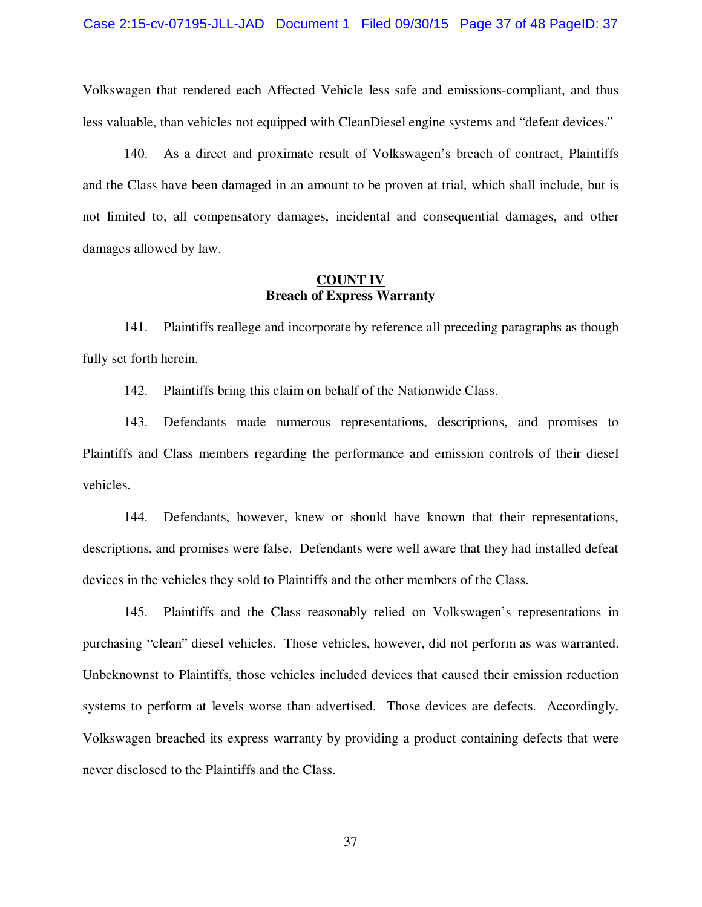Volkswagen that rendered each Affected Vehicle less safe and emissions-compliant, and thus less valuable, than vehicles not equipped with CleanDiesel engine systems and "defeat devices."

140. As a direct and proximate result of Volkswagen's breach of contract, Plaintiffs and the Class have been damaged in an amount to be proven at trial, which shall include, but is not limited to, all compensatory damages, incidental and consequential damages, and other damages allowed by law.

### **COUNT IV Breach of Express Warranty**

141. Plaintiffs reallege and incorporate by reference all preceding paragraphs as though fully set forth herein.

142. Plaintiffs bring this claim on behalf of the Nationwide Class.

143. Defendants made numerous representations, descriptions, and promises to Plaintiffs and Class members regarding the performance and emission controls of their diesel vehicles.

144. Defendants, however, knew or should have known that their representations, descriptions, and promises were false. Defendants were well aware that they had installed defeat devices in the vehicles they sold to Plaintiffs and the other members of the Class.

145. Plaintiffs and the Class reasonably relied on Volkswagen's representations in purchasing "clean" diesel vehicles. Those vehicles, however, did not perform as was warranted. Unbeknownst to Plaintiffs, those vehicles included devices that caused their emission reduction systems to perform at levels worse than advertised. Those devices are defects. Accordingly, Volkswagen breached its express warranty by providing a product containing defects that were never disclosed to the Plaintiffs and the Class.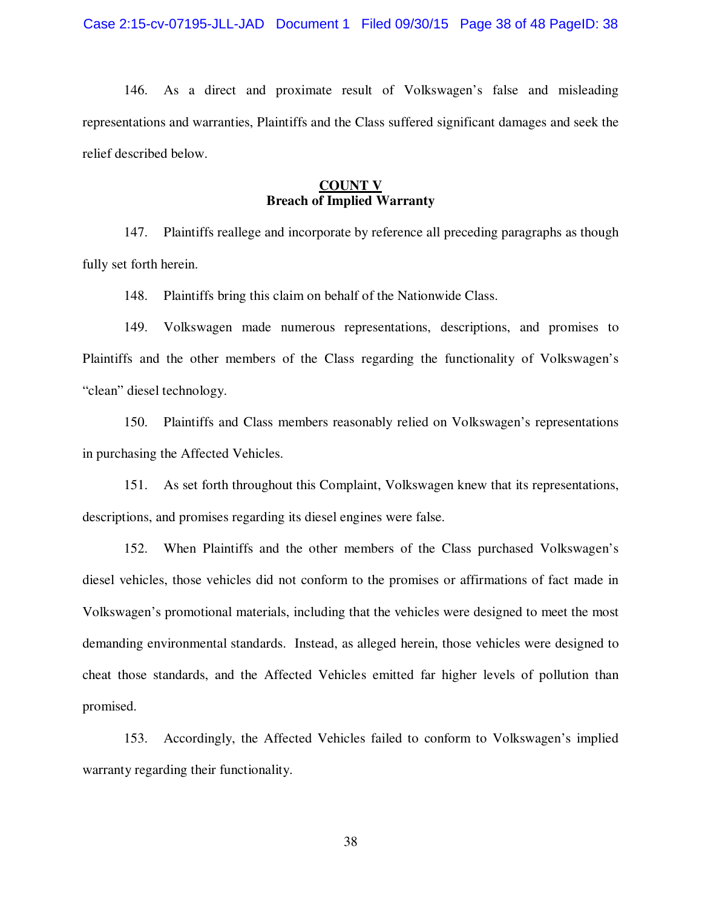146. As a direct and proximate result of Volkswagen's false and misleading representations and warranties, Plaintiffs and the Class suffered significant damages and seek the relief described below.

### **COUNT V Breach of Implied Warranty**

147. Plaintiffs reallege and incorporate by reference all preceding paragraphs as though fully set forth herein.

148. Plaintiffs bring this claim on behalf of the Nationwide Class.

149. Volkswagen made numerous representations, descriptions, and promises to Plaintiffs and the other members of the Class regarding the functionality of Volkswagen's "clean" diesel technology.

150. Plaintiffs and Class members reasonably relied on Volkswagen's representations in purchasing the Affected Vehicles.

151. As set forth throughout this Complaint, Volkswagen knew that its representations, descriptions, and promises regarding its diesel engines were false.

152. When Plaintiffs and the other members of the Class purchased Volkswagen's diesel vehicles, those vehicles did not conform to the promises or affirmations of fact made in Volkswagen's promotional materials, including that the vehicles were designed to meet the most demanding environmental standards. Instead, as alleged herein, those vehicles were designed to cheat those standards, and the Affected Vehicles emitted far higher levels of pollution than promised.

153. Accordingly, the Affected Vehicles failed to conform to Volkswagen's implied warranty regarding their functionality.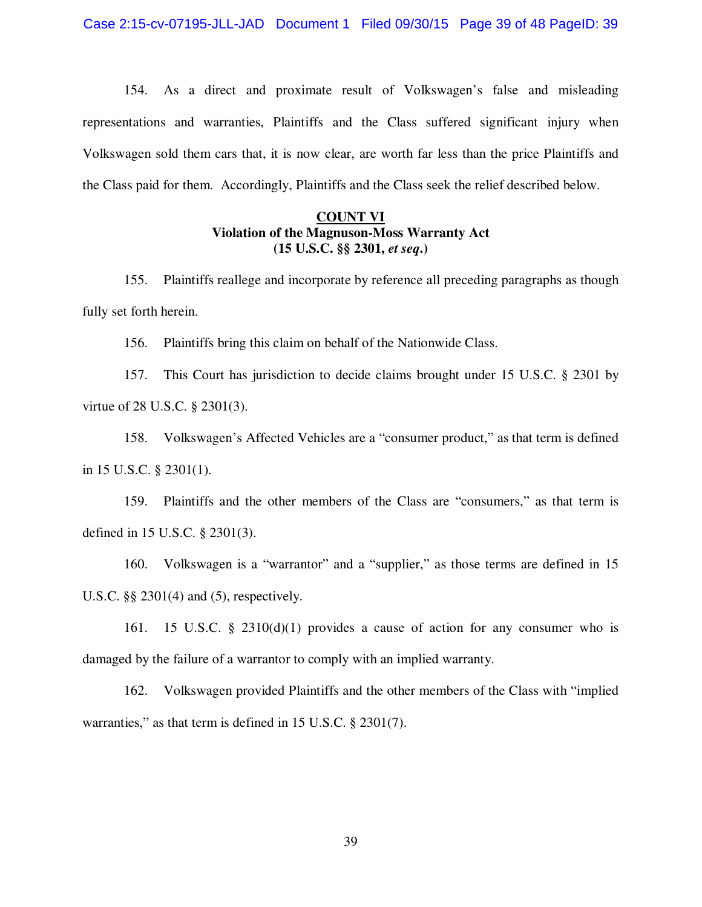154. As a direct and proximate result of Volkswagen's false and misleading representations and warranties, Plaintiffs and the Class suffered significant injury when Volkswagen sold them cars that, it is now clear, are worth far less than the price Plaintiffs and the Class paid for them. Accordingly, Plaintiffs and the Class seek the relief described below.

# **COUNT VI Violation of the Magnuson-Moss Warranty Act (15 U.S.C. §§ 2301,** *et seq***.)**

155. Plaintiffs reallege and incorporate by reference all preceding paragraphs as though fully set forth herein.

156. Plaintiffs bring this claim on behalf of the Nationwide Class.

157. This Court has jurisdiction to decide claims brought under 15 U.S.C. § 2301 by virtue of 28 U.S.C. § 2301(3).

158. Volkswagen's Affected Vehicles are a "consumer product," as that term is defined in 15 U.S.C. § 2301(1).

159. Plaintiffs and the other members of the Class are "consumers," as that term is defined in 15 U.S.C. § 2301(3).

160. Volkswagen is a "warrantor" and a "supplier," as those terms are defined in 15 U.S.C. §§ 2301(4) and (5), respectively.

161. 15 U.S.C. § 2310(d)(1) provides a cause of action for any consumer who is damaged by the failure of a warrantor to comply with an implied warranty.

162. Volkswagen provided Plaintiffs and the other members of the Class with "implied warranties," as that term is defined in 15 U.S.C. § 2301(7).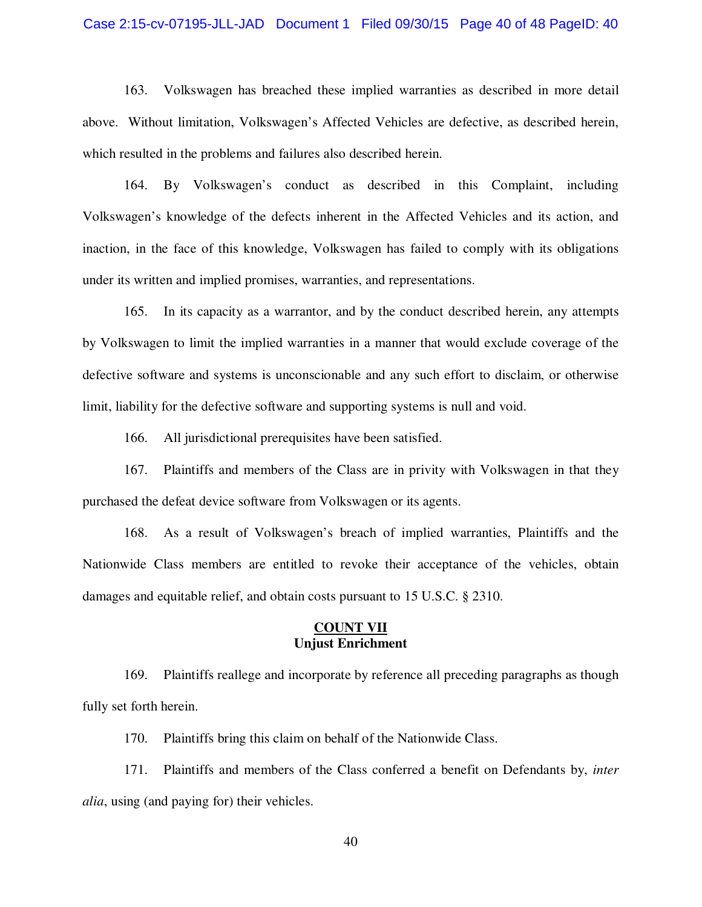#### Case 2:15-cv-07195-JLL-JAD Document 1 Filed 09/30/15 Page 40 of 48 PageID: 40

163. Volkswagen has breached these implied warranties as described in more detail above. Without limitation, Volkswagen's Affected Vehicles are defective, as described herein, which resulted in the problems and failures also described herein.

164. By Volkswagen's conduct as described in this Complaint, including Volkswagen's knowledge of the defects inherent in the Affected Vehicles and its action, and inaction, in the face of this knowledge, Volkswagen has failed to comply with its obligations under its written and implied promises, warranties, and representations.

165. In its capacity as a warrantor, and by the conduct described herein, any attempts by Volkswagen to limit the implied warranties in a manner that would exclude coverage of the defective software and systems is unconscionable and any such effort to disclaim, or otherwise limit, liability for the defective software and supporting systems is null and void.

166. All jurisdictional prerequisites have been satisfied.

167. Plaintiffs and members of the Class are in privity with Volkswagen in that they purchased the defeat device software from Volkswagen or its agents.

168. As a result of Volkswagen's breach of implied warranties, Plaintiffs and the Nationwide Class members are entitled to revoke their acceptance of the vehicles, obtain damages and equitable relief, and obtain costs pursuant to 15 U.S.C. § 2310.

### **COUNT VII Unjust Enrichment**

169. Plaintiffs reallege and incorporate by reference all preceding paragraphs as though fully set forth herein.

170. Plaintiffs bring this claim on behalf of the Nationwide Class.

171. Plaintiffs and members of the Class conferred a benefit on Defendants by, *inter alia*, using (and paying for) their vehicles.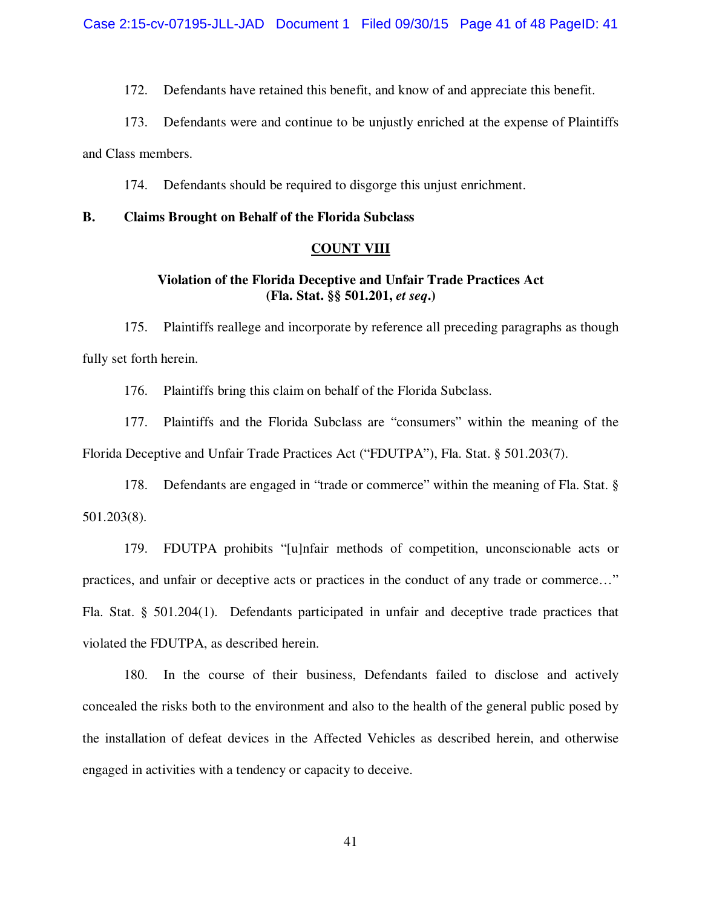172. Defendants have retained this benefit, and know of and appreciate this benefit.

173. Defendants were and continue to be unjustly enriched at the expense of Plaintiffs

and Class members.

174. Defendants should be required to disgorge this unjust enrichment.

### **B. Claims Brought on Behalf of the Florida Subclass**

#### **COUNT VIII**

# **Violation of the Florida Deceptive and Unfair Trade Practices Act (Fla. Stat. §§ 501.201,** *et seq***.)**

175. Plaintiffs reallege and incorporate by reference all preceding paragraphs as though fully set forth herein.

176. Plaintiffs bring this claim on behalf of the Florida Subclass.

177. Plaintiffs and the Florida Subclass are "consumers" within the meaning of the Florida Deceptive and Unfair Trade Practices Act ("FDUTPA"), Fla. Stat. § 501.203(7).

178. Defendants are engaged in "trade or commerce" within the meaning of Fla. Stat. § 501.203(8).

179. FDUTPA prohibits "[u]nfair methods of competition, unconscionable acts or practices, and unfair or deceptive acts or practices in the conduct of any trade or commerce…" Fla. Stat. § 501.204(1). Defendants participated in unfair and deceptive trade practices that violated the FDUTPA, as described herein.

180. In the course of their business, Defendants failed to disclose and actively concealed the risks both to the environment and also to the health of the general public posed by the installation of defeat devices in the Affected Vehicles as described herein, and otherwise engaged in activities with a tendency or capacity to deceive.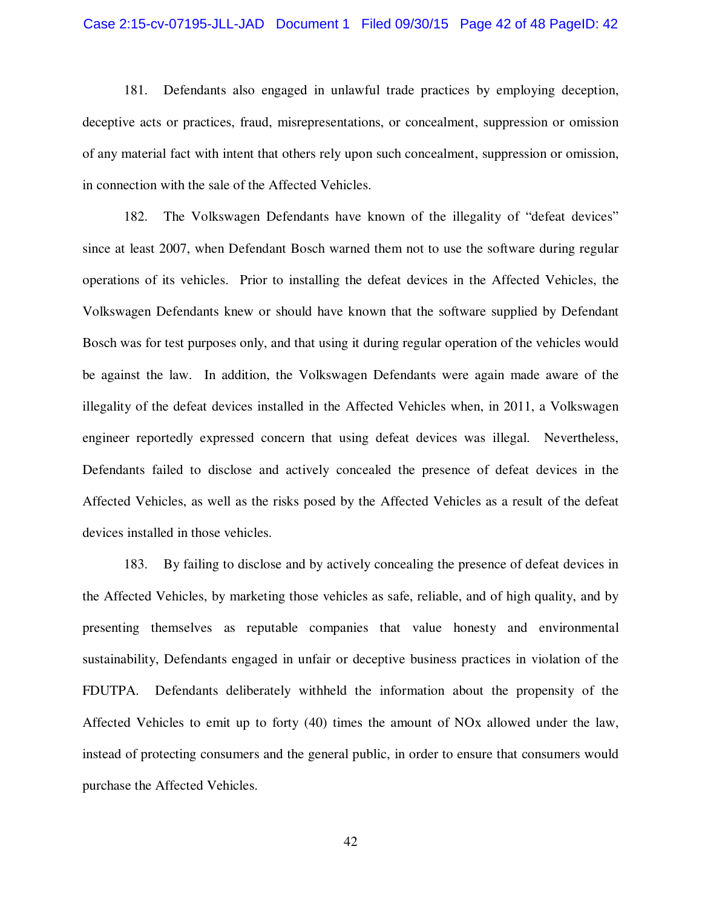#### Case 2:15-cv-07195-JLL-JAD Document 1 Filed 09/30/15 Page 42 of 48 PageID: 42

181. Defendants also engaged in unlawful trade practices by employing deception, deceptive acts or practices, fraud, misrepresentations, or concealment, suppression or omission of any material fact with intent that others rely upon such concealment, suppression or omission, in connection with the sale of the Affected Vehicles.

182. The Volkswagen Defendants have known of the illegality of "defeat devices" since at least 2007, when Defendant Bosch warned them not to use the software during regular operations of its vehicles. Prior to installing the defeat devices in the Affected Vehicles, the Volkswagen Defendants knew or should have known that the software supplied by Defendant Bosch was for test purposes only, and that using it during regular operation of the vehicles would be against the law. In addition, the Volkswagen Defendants were again made aware of the illegality of the defeat devices installed in the Affected Vehicles when, in 2011, a Volkswagen engineer reportedly expressed concern that using defeat devices was illegal. Nevertheless, Defendants failed to disclose and actively concealed the presence of defeat devices in the Affected Vehicles, as well as the risks posed by the Affected Vehicles as a result of the defeat devices installed in those vehicles.

183. By failing to disclose and by actively concealing the presence of defeat devices in the Affected Vehicles, by marketing those vehicles as safe, reliable, and of high quality, and by presenting themselves as reputable companies that value honesty and environmental sustainability, Defendants engaged in unfair or deceptive business practices in violation of the FDUTPA. Defendants deliberately withheld the information about the propensity of the Affected Vehicles to emit up to forty (40) times the amount of NOx allowed under the law, instead of protecting consumers and the general public, in order to ensure that consumers would purchase the Affected Vehicles.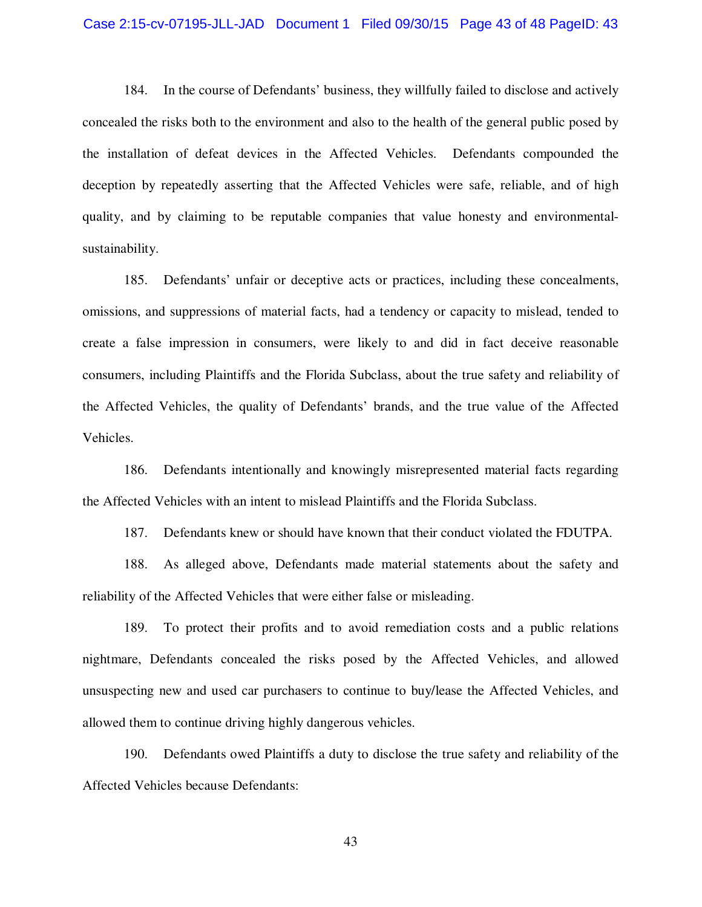#### Case 2:15-cv-07195-JLL-JAD Document 1 Filed 09/30/15 Page 43 of 48 PageID: 43

184. In the course of Defendants' business, they willfully failed to disclose and actively concealed the risks both to the environment and also to the health of the general public posed by the installation of defeat devices in the Affected Vehicles. Defendants compounded the deception by repeatedly asserting that the Affected Vehicles were safe, reliable, and of high quality, and by claiming to be reputable companies that value honesty and environmentalsustainability.

185. Defendants' unfair or deceptive acts or practices, including these concealments, omissions, and suppressions of material facts, had a tendency or capacity to mislead, tended to create a false impression in consumers, were likely to and did in fact deceive reasonable consumers, including Plaintiffs and the Florida Subclass, about the true safety and reliability of the Affected Vehicles, the quality of Defendants' brands, and the true value of the Affected Vehicles.

186. Defendants intentionally and knowingly misrepresented material facts regarding the Affected Vehicles with an intent to mislead Plaintiffs and the Florida Subclass.

187. Defendants knew or should have known that their conduct violated the FDUTPA.

188. As alleged above, Defendants made material statements about the safety and reliability of the Affected Vehicles that were either false or misleading.

189. To protect their profits and to avoid remediation costs and a public relations nightmare, Defendants concealed the risks posed by the Affected Vehicles, and allowed unsuspecting new and used car purchasers to continue to buy/lease the Affected Vehicles, and allowed them to continue driving highly dangerous vehicles.

190. Defendants owed Plaintiffs a duty to disclose the true safety and reliability of the Affected Vehicles because Defendants: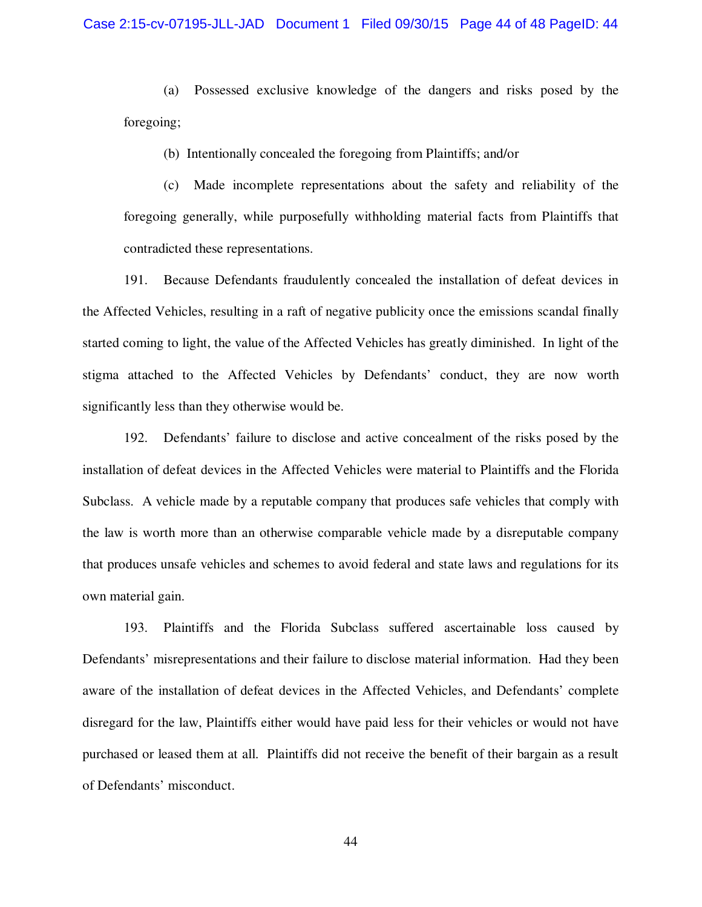(a) Possessed exclusive knowledge of the dangers and risks posed by the foregoing;

(b) Intentionally concealed the foregoing from Plaintiffs; and/or

 (c) Made incomplete representations about the safety and reliability of the foregoing generally, while purposefully withholding material facts from Plaintiffs that contradicted these representations.

191. Because Defendants fraudulently concealed the installation of defeat devices in the Affected Vehicles, resulting in a raft of negative publicity once the emissions scandal finally started coming to light, the value of the Affected Vehicles has greatly diminished. In light of the stigma attached to the Affected Vehicles by Defendants' conduct, they are now worth significantly less than they otherwise would be.

192. Defendants' failure to disclose and active concealment of the risks posed by the installation of defeat devices in the Affected Vehicles were material to Plaintiffs and the Florida Subclass. A vehicle made by a reputable company that produces safe vehicles that comply with the law is worth more than an otherwise comparable vehicle made by a disreputable company that produces unsafe vehicles and schemes to avoid federal and state laws and regulations for its own material gain.

193. Plaintiffs and the Florida Subclass suffered ascertainable loss caused by Defendants' misrepresentations and their failure to disclose material information. Had they been aware of the installation of defeat devices in the Affected Vehicles, and Defendants' complete disregard for the law, Plaintiffs either would have paid less for their vehicles or would not have purchased or leased them at all. Plaintiffs did not receive the benefit of their bargain as a result of Defendants' misconduct.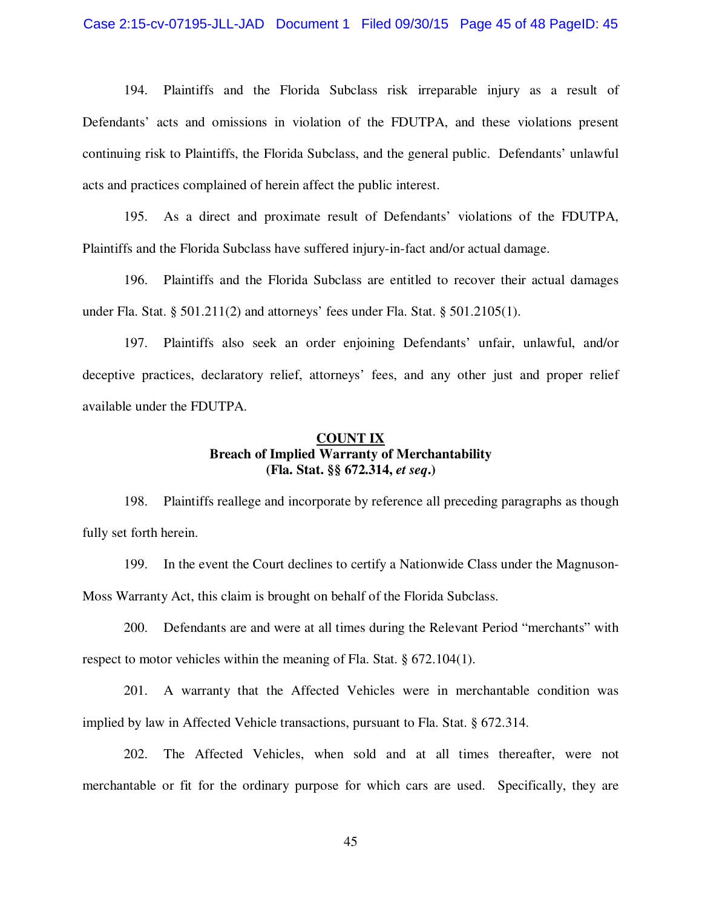194. Plaintiffs and the Florida Subclass risk irreparable injury as a result of Defendants' acts and omissions in violation of the FDUTPA, and these violations present continuing risk to Plaintiffs, the Florida Subclass, and the general public. Defendants' unlawful acts and practices complained of herein affect the public interest.

195. As a direct and proximate result of Defendants' violations of the FDUTPA, Plaintiffs and the Florida Subclass have suffered injury-in-fact and/or actual damage.

196. Plaintiffs and the Florida Subclass are entitled to recover their actual damages under Fla. Stat. § 501.211(2) and attorneys' fees under Fla. Stat. § 501.2105(1).

197. Plaintiffs also seek an order enjoining Defendants' unfair, unlawful, and/or deceptive practices, declaratory relief, attorneys' fees, and any other just and proper relief available under the FDUTPA.

### **COUNT IX Breach of Implied Warranty of Merchantability (Fla. Stat. §§ 672.314,** *et seq***.)**

198. Plaintiffs reallege and incorporate by reference all preceding paragraphs as though fully set forth herein.

199. In the event the Court declines to certify a Nationwide Class under the Magnuson-Moss Warranty Act, this claim is brought on behalf of the Florida Subclass.

200. Defendants are and were at all times during the Relevant Period "merchants" with respect to motor vehicles within the meaning of Fla. Stat. § 672.104(1).

201. A warranty that the Affected Vehicles were in merchantable condition was implied by law in Affected Vehicle transactions, pursuant to Fla. Stat. § 672.314.

202. The Affected Vehicles, when sold and at all times thereafter, were not merchantable or fit for the ordinary purpose for which cars are used. Specifically, they are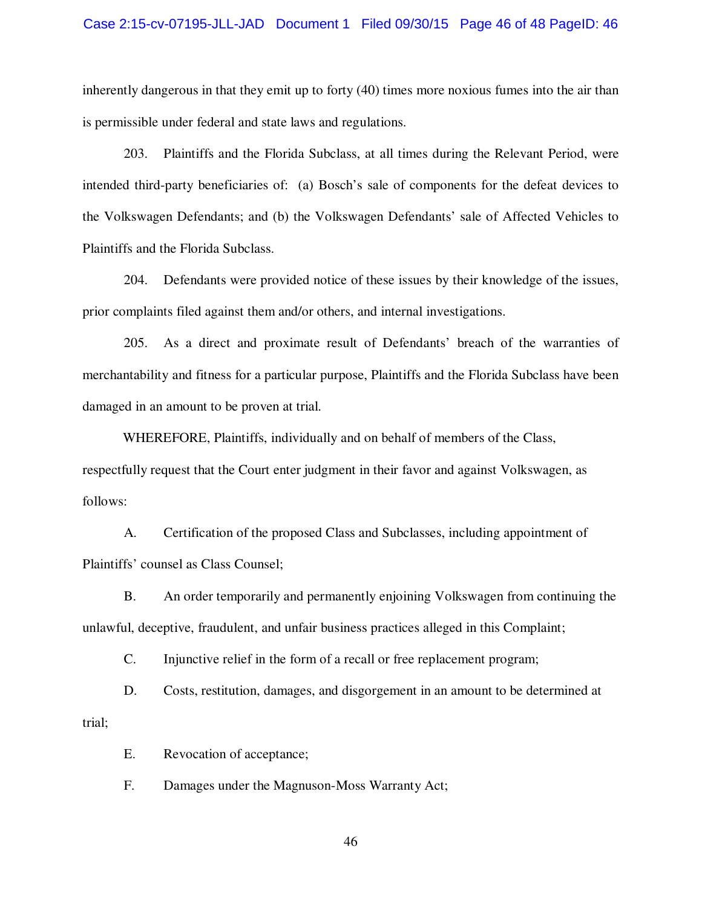inherently dangerous in that they emit up to forty (40) times more noxious fumes into the air than is permissible under federal and state laws and regulations.

203. Plaintiffs and the Florida Subclass, at all times during the Relevant Period, were intended third-party beneficiaries of: (a) Bosch's sale of components for the defeat devices to the Volkswagen Defendants; and (b) the Volkswagen Defendants' sale of Affected Vehicles to Plaintiffs and the Florida Subclass.

204. Defendants were provided notice of these issues by their knowledge of the issues, prior complaints filed against them and/or others, and internal investigations.

205. As a direct and proximate result of Defendants' breach of the warranties of merchantability and fitness for a particular purpose, Plaintiffs and the Florida Subclass have been damaged in an amount to be proven at trial.

WHEREFORE, Plaintiffs, individually and on behalf of members of the Class, respectfully request that the Court enter judgment in their favor and against Volkswagen, as follows:

A. Certification of the proposed Class and Subclasses, including appointment of Plaintiffs' counsel as Class Counsel;

B. An order temporarily and permanently enjoining Volkswagen from continuing the unlawful, deceptive, fraudulent, and unfair business practices alleged in this Complaint;

C. Injunctive relief in the form of a recall or free replacement program;

D. Costs, restitution, damages, and disgorgement in an amount to be determined at trial;

E. Revocation of acceptance;

F. Damages under the Magnuson-Moss Warranty Act;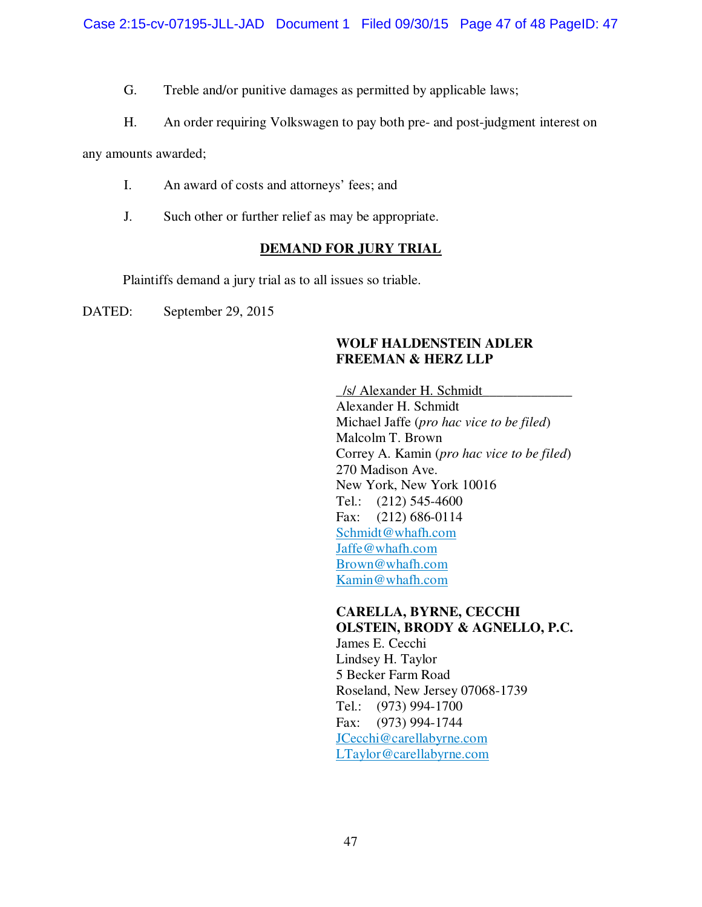G. Treble and/or punitive damages as permitted by applicable laws;

H. An order requiring Volkswagen to pay both pre- and post-judgment interest on

any amounts awarded;

- I. An award of costs and attorneys' fees; and
- J. Such other or further relief as may be appropriate.

# **DEMAND FOR JURY TRIAL**

Plaintiffs demand a jury trial as to all issues so triable.

DATED: September 29, 2015

# **WOLF HALDENSTEIN ADLER FREEMAN & HERZ LLP**

**\_**/s/ Alexander H. Schmidt**\_\_\_\_\_\_\_\_\_\_\_\_\_**  Alexander H. Schmidt Michael Jaffe (*pro hac vice to be filed*) Malcolm T. Brown Correy A. Kamin (*pro hac vice to be filed*) 270 Madison Ave. New York, New York 10016 Tel.: (212) 545-4600 Fax: (212) 686-0114 Schmidt@whafh.com Jaffe@whafh.com Brown@whafh.com Kamin@whafh.com

# **CARELLA, BYRNE, CECCHI OLSTEIN, BRODY & AGNELLO, P.C.**

James E. Cecchi Lindsey H. Taylor 5 Becker Farm Road Roseland, New Jersey 07068-1739 Tel.: (973) 994-1700 Fax: (973) 994-1744 JCecchi@carellabyrne.com LTaylor@carellabyrne.com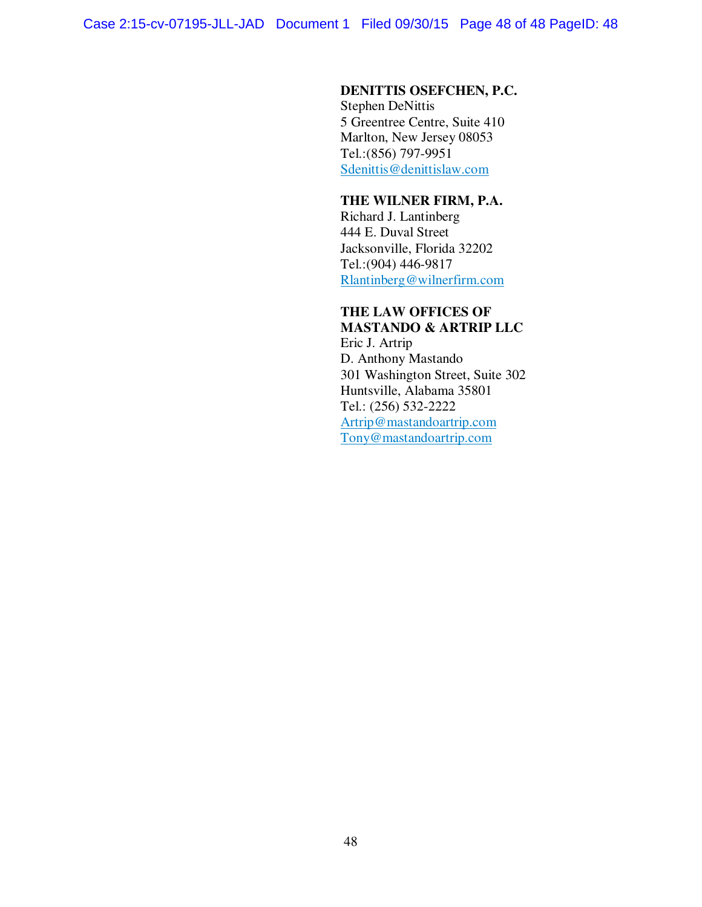### **DENITTIS OSEFCHEN, P.C.**

Stephen DeNittis 5 Greentree Centre, Suite 410 Marlton, New Jersey 08053 Tel.: (856) 797-9951 Sdenittis@denittislaw.com

### **THE WILNER FIRM, P.A.**

Richard J. Lantinberg 444 E. Duval Street Jacksonville, Florida 32202 Tel.: (904) 446-9817 Rlantinberg@wilnerfirm.com

# **THE LAW OFFICES OF MASTANDO & ARTRIP LLC**

Eric J. Artrip D. Anthony Mastando 301 Washington Street, Suite 302 Huntsville, Alabama 35801 Tel.: (256) 532-2222 Artrip@mastandoartrip.com Tony@mastandoartrip.com